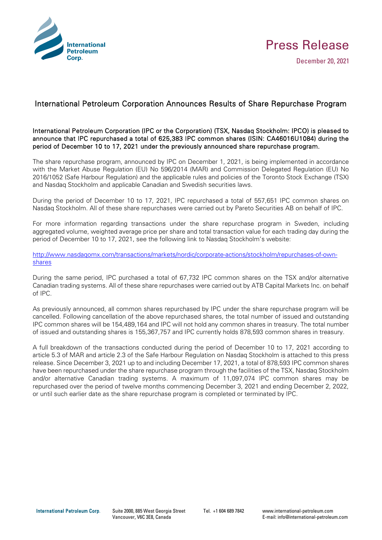



## International Petroleum Corporation Announces Results of Share Repurchase Program

International Petroleum Corporation (IPC or the Corporation) (TSX, Nasdaq Stockholm: IPCO) is pleased to announce that IPC repurchased a total of 625,383 IPC common shares (ISIN: CA46016U1084) during the period of December 10 to 17, 2021 under the previously announced share repurchase program.

The share repurchase program, announced by IPC on December 1, 2021, is being implemented in accordance with the Market Abuse Regulation (EU) No 596/2014 (MAR) and Commission Delegated Regulation (EU) No 2016/1052 (Safe Harbour Regulation) and the applicable rules and policies of the Toronto Stock Exchange (TSX) and Nasdaq Stockholm and applicable Canadian and Swedish securities laws.

During the period of December 10 to 17, 2021, IPC repurchased a total of 557,651 IPC common shares on Nasdaq Stockholm. All of these share repurchases were carried out by Pareto Securities AB on behalf of IPC.

For more information regarding transactions under the share repurchase program in Sweden, including aggregated volume, weighted average price per share and total transaction value for each trading day during the period of December 10 to 17, 2021, see the following link to Nasdaq Stockholm's website:

http://www.nasdaqomx.com/transactions/markets/nordic/corporate-actions/stockholm/repurchases-of-ownshares

During the same period, IPC purchased a total of 67,732 IPC common shares on the TSX and/or alternative Canadian trading systems. All of these share repurchases were carried out by ATB Capital Markets Inc. on behalf of IPC.

As previously announced, all common shares repurchased by IPC under the share repurchase program will be cancelled. Following cancellation of the above repurchased shares, the total number of issued and outstanding IPC common shares will be 154,489,164 and IPC will not hold any common shares in treasury. The total number of issued and outstanding shares is 155,367,757 and IPC currently holds 878,593 common shares in treasury.

A full breakdown of the transactions conducted during the period of December 10 to 17, 2021 according to article 5.3 of MAR and article 2.3 of the Safe Harbour Regulation on Nasdaq Stockholm is attached to this press release. Since December 3, 2021 up to and including December 17, 2021, a total of 878,593 IPC common shares have been repurchased under the share repurchase program through the facilities of the TSX, Nasdaq Stockholm and/or alternative Canadian trading systems. A maximum of 11,097,074 IPC common shares may be repurchased over the period of twelve months commencing December 3, 2021 and ending December 2, 2022, or until such earlier date as the share repurchase program is completed or terminated by IPC.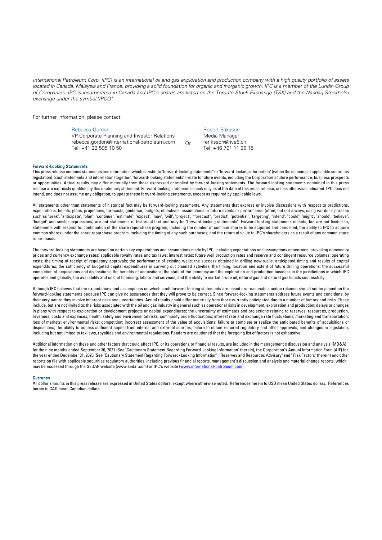*International Petroleum Corp. (IPC) is an international oil and gas exploration and production company with a high quality portfolio of assets*  located in Canada, Malaysia and France, providing a solid foundation for organic and inorganic growth. IPC is a member of the Lundin Group *of Companies. IPC is incorporated in Canada and IPC's shares are listed on the Toronto Stock Exchange (TSX) and the Nasdaq Stockholm exchange under the symbol "IPCO".* 

For further information, please contact:

Rebecca Gordon

VP Corporate Planning and Investor Relations rebecca.gordon@international-petroleum.com Tel: +41 22 595 10 50

Robert Eriksson Media Manager

reriksson@rive6.ch Tel: +46 701 11 26 15

## Forward-Looking Statements

This press release contains statements and information which constitute "forward-looking statements" or "forward-looking information" (within the meaning of applicable securities legislation). Such statements and information (together, "forward-looking statements") relate to future events, including the Corporation's future performance, business prospects or opportunities. Actual results may differ materially from those expressed or implied by forward-looking statements. The forward-looking statements contained in this press release are expressly qualified by this cautionary statement. Forward-looking statements speak only as of the date of this press release, unless otherwise indicated. IPC does not intend, and does not assume any obligation, to update these forward-looking statements, except as required by applicable laws.

Or

All statements other than statements of historical fact may be forward-looking statements. Any statements that express or involve discussions with respect to predictions, expectations, beliefs, plans, projections, forecasts, guidance, budgets, objectives, assumptions or future events or performance (often, but not always, using words or phrases such as "seek", "anticipate", "plan", "continue", "estimate", "expect", "may", "will", "project", "forecast", "predict", "potential", "targeting", "intend", "could", "might", "should", "believe", "budget" and similar expressions) are not statements of historical fact and may be "forward-looking statements". Forward-looking statements include, but are not limited to, statements with respect to: continuation of the share repurchase program, including the number of common shares to be acquired and cancelled; the ability to IPC to acquire common shares under the share repurchase program, including the timing of any such purchases; and the return of value to IPC's shareholders as a result of any common share repurchases.

The forward-looking statements are based on certain key expectations and assumptions made by IPC, including expectations and assumptions concerning: prevailing commodity prices and currency exchange rates; applicable royalty rates and tax laws; interest rates; future well production rates and reserve and contingent resource volumes; operating costs; the timing of receipt of regulatory approvals; the performance of existing wells; the success obtained in drilling new wells; anticipated timing and results of capital expenditures; the sufficiency of budgeted capital expenditures in carrying out planned activities; the timing, location and extent of future drilling operations; the successful completion of acquisitions and dispositions; the benefits of acquisitions; the state of the economy and the exploration and production business in the jurisdictions in which IPC operates and globally; the availability and cost of financing, labour and services; and the ability to market crude oil, natural gas and natural gas liquids successfully.

Although IPC believes that the expectations and assumptions on which such forward-looking statements are based are reasonable, undue reliance should not be placed on the forward-looking statements because IPC can give no assurances that they will prove to be correct. Since forward-looking statements address future events and conditions, by their very nature they involve inherent risks and uncertainties. Actual results could differ materially from those currently anticipated due to a number of factors and risks. These include, but are not limited to: the risks associated with the oil and gas industry in general such as operational risks in development, exploration and production; delays or changes in plans with respect to exploration or development projects or capital expenditures; the uncertainty of estimates and projections relating to reserves, resources, production, revenues, costs and expenses; health, safety and environmental risks; commodity price fluctuations; interest rate and exchange rate fluctuations; marketing and transportation; loss of markets; environmental risks; competition; incorrect assessment of the value of acquisitions; failure to complete or realize the anticipated benefits of acquisitions or dispositions; the ability to access sufficient capital from internal and external sources; failure to obtain required regulatory and other approvals; and changes in legislation, including but not limited to tax laws, royalties and environmental regulations. Readers are cautioned that the foregoing list of factors is not exhaustive.

Additional information on these and other factors that could affect IPC, or its operations or financial results, are included in the management's discussion and analysis (MD&A) for the nine months ended September 30, 2021 (See "Cautionary Statement Regarding Forward-Looking Information" therein), the Corporation's Annual Information Form (AIF) for the year ended December 31, 2020 (See "Cautionary Statement Regarding Forward- Looking Information", "Reserves and Resources Advisory" and " Risk Factors" therein) and other reports on file with applicable securities regulatory authorities, including previous financial reports, management's discussion and analysis and material change reports, which may be accessed through the SEDAR website (www.sedar.com) or IPC's website (www.international-petroleum.com).

## **Currency**

All dollar amounts in this press release are expressed in United States dollars, except where otherwise noted. References herein to USD mean United States dollars. References herein to CAD mean Canadian dollars.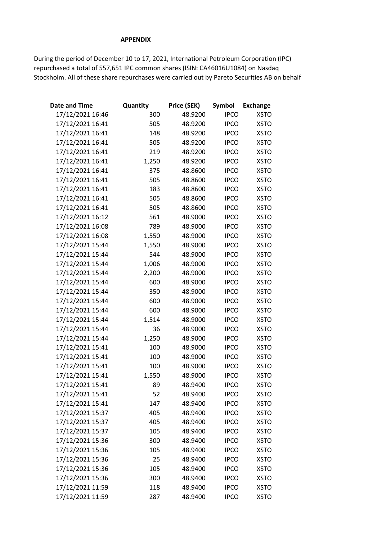## **APPENDIX**

During the period of December 10 to 17, 2021, International Petroleum Corporation (IPC) repurchased a total of 557,651 IPC common shares (ISIN: CA46016U1084) on Nasdaq Stockholm. All of these share repurchases were carried out by Pareto Securities AB on behalf

| <b>Date and Time</b> | Quantity | Price (SEK) | Symbol      | <b>Exchange</b> |
|----------------------|----------|-------------|-------------|-----------------|
| 17/12/2021 16:46     | 300      | 48.9200     | <b>IPCO</b> | <b>XSTO</b>     |
| 17/12/2021 16:41     | 505      | 48.9200     | <b>IPCO</b> | <b>XSTO</b>     |
| 17/12/2021 16:41     | 148      | 48.9200     | <b>IPCO</b> | <b>XSTO</b>     |
| 17/12/2021 16:41     | 505      | 48.9200     | <b>IPCO</b> | <b>XSTO</b>     |
| 17/12/2021 16:41     | 219      | 48.9200     | <b>IPCO</b> | <b>XSTO</b>     |
| 17/12/2021 16:41     | 1,250    | 48.9200     | <b>IPCO</b> | <b>XSTO</b>     |
| 17/12/2021 16:41     | 375      | 48.8600     | <b>IPCO</b> | <b>XSTO</b>     |
| 17/12/2021 16:41     | 505      | 48.8600     | <b>IPCO</b> | <b>XSTO</b>     |
| 17/12/2021 16:41     | 183      | 48.8600     | <b>IPCO</b> | <b>XSTO</b>     |
| 17/12/2021 16:41     | 505      | 48.8600     | <b>IPCO</b> | <b>XSTO</b>     |
| 17/12/2021 16:41     | 505      | 48.8600     | <b>IPCO</b> | <b>XSTO</b>     |
| 17/12/2021 16:12     | 561      | 48.9000     | <b>IPCO</b> | <b>XSTO</b>     |
| 17/12/2021 16:08     | 789      | 48.9000     | <b>IPCO</b> | <b>XSTO</b>     |
| 17/12/2021 16:08     | 1,550    | 48.9000     | <b>IPCO</b> | <b>XSTO</b>     |
| 17/12/2021 15:44     | 1,550    | 48.9000     | <b>IPCO</b> | <b>XSTO</b>     |
| 17/12/2021 15:44     | 544      | 48.9000     | <b>IPCO</b> | <b>XSTO</b>     |
| 17/12/2021 15:44     | 1,006    | 48.9000     | <b>IPCO</b> | <b>XSTO</b>     |
| 17/12/2021 15:44     | 2,200    | 48.9000     | <b>IPCO</b> | <b>XSTO</b>     |
| 17/12/2021 15:44     | 600      | 48.9000     | <b>IPCO</b> | <b>XSTO</b>     |
| 17/12/2021 15:44     | 350      | 48.9000     | <b>IPCO</b> | <b>XSTO</b>     |
| 17/12/2021 15:44     | 600      | 48.9000     | <b>IPCO</b> | <b>XSTO</b>     |
| 17/12/2021 15:44     | 600      | 48.9000     | <b>IPCO</b> | <b>XSTO</b>     |
| 17/12/2021 15:44     | 1,514    | 48.9000     | <b>IPCO</b> | <b>XSTO</b>     |
| 17/12/2021 15:44     | 36       | 48.9000     | <b>IPCO</b> | <b>XSTO</b>     |
| 17/12/2021 15:44     | 1,250    | 48.9000     | <b>IPCO</b> | <b>XSTO</b>     |
| 17/12/2021 15:41     | 100      | 48.9000     | <b>IPCO</b> | <b>XSTO</b>     |
| 17/12/2021 15:41     | 100      | 48.9000     | <b>IPCO</b> | <b>XSTO</b>     |
| 17/12/2021 15:41     | 100      | 48.9000     | <b>IPCO</b> | <b>XSTO</b>     |
| 17/12/2021 15:41     | 1,550    | 48.9000     | <b>IPCO</b> | <b>XSTO</b>     |
| 17/12/2021 15:41     | 89       | 48.9400     | <b>IPCO</b> | <b>XSTO</b>     |
| 17/12/2021 15:41     | 52       | 48.9400     | <b>IPCO</b> | <b>XSTO</b>     |
| 17/12/2021 15:41     | 147      | 48.9400     | <b>IPCO</b> | <b>XSTO</b>     |
| 17/12/2021 15:37     | 405      | 48.9400     | <b>IPCO</b> | <b>XSTO</b>     |
| 17/12/2021 15:37     | 405      | 48.9400     | <b>IPCO</b> | <b>XSTO</b>     |
| 17/12/2021 15:37     | 105      | 48.9400     | <b>IPCO</b> | <b>XSTO</b>     |
| 17/12/2021 15:36     | 300      | 48.9400     | <b>IPCO</b> | <b>XSTO</b>     |
| 17/12/2021 15:36     | 105      | 48.9400     | <b>IPCO</b> | <b>XSTO</b>     |
| 17/12/2021 15:36     | 25       | 48.9400     | <b>IPCO</b> | <b>XSTO</b>     |
| 17/12/2021 15:36     | 105      | 48.9400     | <b>IPCO</b> | <b>XSTO</b>     |
| 17/12/2021 15:36     | 300      | 48.9400     | <b>IPCO</b> | <b>XSTO</b>     |
| 17/12/2021 11:59     | 118      | 48.9400     | <b>IPCO</b> | <b>XSTO</b>     |
| 17/12/2021 11:59     | 287      | 48.9400     | <b>IPCO</b> | <b>XSTO</b>     |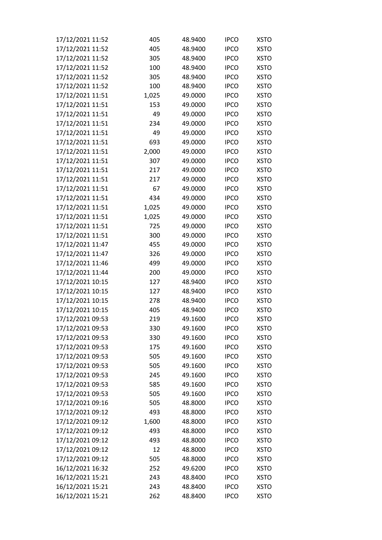| 17/12/2021 11:52 | 405   | 48.9400 | <b>IPCO</b> | <b>XSTO</b> |
|------------------|-------|---------|-------------|-------------|
| 17/12/2021 11:52 | 405   | 48.9400 | <b>IPCO</b> | <b>XSTO</b> |
| 17/12/2021 11:52 | 305   | 48.9400 | <b>IPCO</b> | <b>XSTO</b> |
| 17/12/2021 11:52 | 100   | 48.9400 | <b>IPCO</b> | <b>XSTO</b> |
| 17/12/2021 11:52 | 305   | 48.9400 | <b>IPCO</b> | <b>XSTO</b> |
| 17/12/2021 11:52 | 100   | 48.9400 | <b>IPCO</b> | <b>XSTO</b> |
| 17/12/2021 11:51 | 1,025 | 49.0000 | <b>IPCO</b> | <b>XSTO</b> |
| 17/12/2021 11:51 | 153   | 49.0000 | <b>IPCO</b> | <b>XSTO</b> |
| 17/12/2021 11:51 | 49    | 49.0000 | <b>IPCO</b> | <b>XSTO</b> |
| 17/12/2021 11:51 | 234   | 49.0000 | <b>IPCO</b> | <b>XSTO</b> |
| 17/12/2021 11:51 | 49    | 49.0000 | <b>IPCO</b> | <b>XSTO</b> |
| 17/12/2021 11:51 | 693   | 49.0000 | <b>IPCO</b> | <b>XSTO</b> |
| 17/12/2021 11:51 | 2,000 | 49.0000 | <b>IPCO</b> | <b>XSTO</b> |
| 17/12/2021 11:51 | 307   | 49.0000 | <b>IPCO</b> | <b>XSTO</b> |
| 17/12/2021 11:51 | 217   | 49.0000 | <b>IPCO</b> | <b>XSTO</b> |
| 17/12/2021 11:51 | 217   | 49.0000 | <b>IPCO</b> | <b>XSTO</b> |
| 17/12/2021 11:51 | 67    | 49.0000 | <b>IPCO</b> | <b>XSTO</b> |
| 17/12/2021 11:51 | 434   | 49.0000 | <b>IPCO</b> | <b>XSTO</b> |
| 17/12/2021 11:51 | 1,025 | 49.0000 | <b>IPCO</b> | <b>XSTO</b> |
| 17/12/2021 11:51 | 1,025 | 49.0000 | <b>IPCO</b> | <b>XSTO</b> |
| 17/12/2021 11:51 | 725   | 49.0000 | <b>IPCO</b> | <b>XSTO</b> |
| 17/12/2021 11:51 | 300   | 49.0000 | <b>IPCO</b> | <b>XSTO</b> |
| 17/12/2021 11:47 | 455   | 49.0000 | <b>IPCO</b> | <b>XSTO</b> |
| 17/12/2021 11:47 | 326   | 49.0000 | <b>IPCO</b> | <b>XSTO</b> |
| 17/12/2021 11:46 | 499   | 49.0000 | <b>IPCO</b> | <b>XSTO</b> |
| 17/12/2021 11:44 | 200   | 49.0000 | <b>IPCO</b> | <b>XSTO</b> |
| 17/12/2021 10:15 | 127   | 48.9400 | <b>IPCO</b> | <b>XSTO</b> |
| 17/12/2021 10:15 | 127   | 48.9400 | <b>IPCO</b> | <b>XSTO</b> |
| 17/12/2021 10:15 | 278   | 48.9400 | <b>IPCO</b> | <b>XSTO</b> |
| 17/12/2021 10:15 | 405   | 48.9400 | <b>IPCO</b> | <b>XSTO</b> |
| 17/12/2021 09:53 | 219   | 49.1600 | <b>IPCO</b> | <b>XSTO</b> |
| 17/12/2021 09:53 | 330   | 49.1600 | <b>IPCO</b> | <b>XSTO</b> |
| 17/12/2021 09:53 | 330   | 49.1600 | <b>IPCO</b> | <b>XSTO</b> |
| 17/12/2021 09:53 | 175   | 49.1600 | <b>IPCO</b> | <b>XSTO</b> |
| 17/12/2021 09:53 | 505   | 49.1600 | <b>IPCO</b> | <b>XSTO</b> |
| 17/12/2021 09:53 | 505   | 49.1600 | <b>IPCO</b> | <b>XSTO</b> |
| 17/12/2021 09:53 | 245   | 49.1600 | <b>IPCO</b> | <b>XSTO</b> |
| 17/12/2021 09:53 | 585   | 49.1600 | <b>IPCO</b> | <b>XSTO</b> |
| 17/12/2021 09:53 | 505   | 49.1600 | <b>IPCO</b> | <b>XSTO</b> |
|                  |       |         | <b>IPCO</b> | <b>XSTO</b> |
| 17/12/2021 09:16 | 505   | 48.8000 |             |             |
| 17/12/2021 09:12 | 493   | 48.8000 | <b>IPCO</b> | <b>XSTO</b> |
| 17/12/2021 09:12 | 1,600 | 48.8000 | <b>IPCO</b> | <b>XSTO</b> |
| 17/12/2021 09:12 | 493   | 48.8000 | <b>IPCO</b> | <b>XSTO</b> |
| 17/12/2021 09:12 | 493   | 48.8000 | <b>IPCO</b> | <b>XSTO</b> |
| 17/12/2021 09:12 | 12    | 48.8000 | <b>IPCO</b> | <b>XSTO</b> |
| 17/12/2021 09:12 | 505   | 48.8000 | <b>IPCO</b> | <b>XSTO</b> |
| 16/12/2021 16:32 | 252   | 49.6200 | <b>IPCO</b> | <b>XSTO</b> |
| 16/12/2021 15:21 | 243   | 48.8400 | <b>IPCO</b> | <b>XSTO</b> |
| 16/12/2021 15:21 | 243   | 48.8400 | <b>IPCO</b> | <b>XSTO</b> |
| 16/12/2021 15:21 | 262   | 48.8400 | <b>IPCO</b> | <b>XSTO</b> |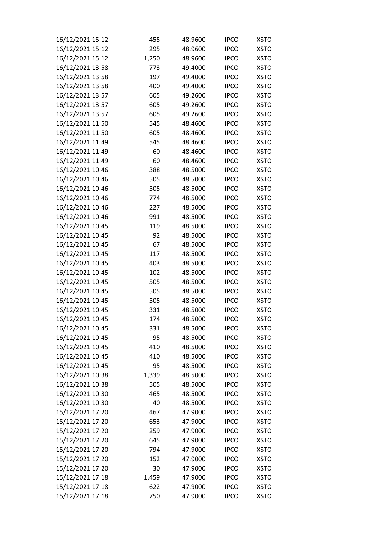| 16/12/2021 15:12 | 455   | 48.9600 | <b>IPCO</b> | <b>XSTO</b> |
|------------------|-------|---------|-------------|-------------|
| 16/12/2021 15:12 | 295   | 48.9600 | <b>IPCO</b> | <b>XSTO</b> |
| 16/12/2021 15:12 | 1,250 | 48.9600 | <b>IPCO</b> | <b>XSTO</b> |
| 16/12/2021 13:58 | 773   | 49.4000 | <b>IPCO</b> | <b>XSTO</b> |
| 16/12/2021 13:58 | 197   | 49.4000 | <b>IPCO</b> | <b>XSTO</b> |
| 16/12/2021 13:58 | 400   | 49.4000 | <b>IPCO</b> | <b>XSTO</b> |
| 16/12/2021 13:57 | 605   | 49.2600 | <b>IPCO</b> | <b>XSTO</b> |
| 16/12/2021 13:57 | 605   | 49.2600 | <b>IPCO</b> | <b>XSTO</b> |
| 16/12/2021 13:57 | 605   | 49.2600 | <b>IPCO</b> | <b>XSTO</b> |
| 16/12/2021 11:50 | 545   | 48.4600 | <b>IPCO</b> | <b>XSTO</b> |
| 16/12/2021 11:50 | 605   | 48.4600 | <b>IPCO</b> | <b>XSTO</b> |
| 16/12/2021 11:49 | 545   | 48.4600 | <b>IPCO</b> | <b>XSTO</b> |
| 16/12/2021 11:49 | 60    | 48.4600 | <b>IPCO</b> | <b>XSTO</b> |
| 16/12/2021 11:49 | 60    | 48.4600 | <b>IPCO</b> | <b>XSTO</b> |
| 16/12/2021 10:46 | 388   | 48.5000 | <b>IPCO</b> | <b>XSTO</b> |
| 16/12/2021 10:46 | 505   | 48.5000 | <b>IPCO</b> | <b>XSTO</b> |
| 16/12/2021 10:46 | 505   | 48.5000 | <b>IPCO</b> | <b>XSTO</b> |
| 16/12/2021 10:46 | 774   | 48.5000 | <b>IPCO</b> | <b>XSTO</b> |
| 16/12/2021 10:46 | 227   | 48.5000 | <b>IPCO</b> | <b>XSTO</b> |
| 16/12/2021 10:46 | 991   | 48.5000 | <b>IPCO</b> | <b>XSTO</b> |
| 16/12/2021 10:45 | 119   | 48.5000 | <b>IPCO</b> | <b>XSTO</b> |
| 16/12/2021 10:45 | 92    | 48.5000 | <b>IPCO</b> | <b>XSTO</b> |
| 16/12/2021 10:45 | 67    | 48.5000 | <b>IPCO</b> | <b>XSTO</b> |
| 16/12/2021 10:45 | 117   | 48.5000 | <b>IPCO</b> | <b>XSTO</b> |
| 16/12/2021 10:45 | 403   | 48.5000 | <b>IPCO</b> | <b>XSTO</b> |
| 16/12/2021 10:45 | 102   | 48.5000 | <b>IPCO</b> | <b>XSTO</b> |
| 16/12/2021 10:45 | 505   | 48.5000 | <b>IPCO</b> | <b>XSTO</b> |
| 16/12/2021 10:45 | 505   | 48.5000 | <b>IPCO</b> | <b>XSTO</b> |
| 16/12/2021 10:45 | 505   | 48.5000 | <b>IPCO</b> | <b>XSTO</b> |
| 16/12/2021 10:45 | 331   | 48.5000 | <b>IPCO</b> | <b>XSTO</b> |
| 16/12/2021 10:45 | 174   | 48.5000 | <b>IPCO</b> | <b>XSTO</b> |
| 16/12/2021 10:45 | 331   | 48.5000 | <b>IPCO</b> | <b>XSTO</b> |
| 16/12/2021 10:45 | 95    | 48.5000 | <b>IPCO</b> | <b>XSTO</b> |
| 16/12/2021 10:45 | 410   | 48.5000 | <b>IPCO</b> | <b>XSTO</b> |
| 16/12/2021 10:45 | 410   | 48.5000 | <b>IPCO</b> | <b>XSTO</b> |
| 16/12/2021 10:45 | 95    | 48.5000 | <b>IPCO</b> | <b>XSTO</b> |
| 16/12/2021 10:38 | 1,339 | 48.5000 | <b>IPCO</b> | <b>XSTO</b> |
| 16/12/2021 10:38 | 505   | 48.5000 | <b>IPCO</b> | <b>XSTO</b> |
| 16/12/2021 10:30 | 465   | 48.5000 | <b>IPCO</b> | <b>XSTO</b> |
| 16/12/2021 10:30 | 40    | 48.5000 | <b>IPCO</b> | <b>XSTO</b> |
| 15/12/2021 17:20 | 467   | 47.9000 |             | <b>XSTO</b> |
|                  |       |         | <b>IPCO</b> |             |
| 15/12/2021 17:20 | 653   | 47.9000 | <b>IPCO</b> | <b>XSTO</b> |
| 15/12/2021 17:20 | 259   | 47.9000 | <b>IPCO</b> | <b>XSTO</b> |
| 15/12/2021 17:20 | 645   | 47.9000 | <b>IPCO</b> | <b>XSTO</b> |
| 15/12/2021 17:20 | 794   | 47.9000 | <b>IPCO</b> | <b>XSTO</b> |
| 15/12/2021 17:20 | 152   | 47.9000 | <b>IPCO</b> | <b>XSTO</b> |
| 15/12/2021 17:20 | 30    | 47.9000 | <b>IPCO</b> | <b>XSTO</b> |
| 15/12/2021 17:18 | 1,459 | 47.9000 | <b>IPCO</b> | <b>XSTO</b> |
| 15/12/2021 17:18 | 622   | 47.9000 | <b>IPCO</b> | <b>XSTO</b> |
| 15/12/2021 17:18 | 750   | 47.9000 | <b>IPCO</b> | <b>XSTO</b> |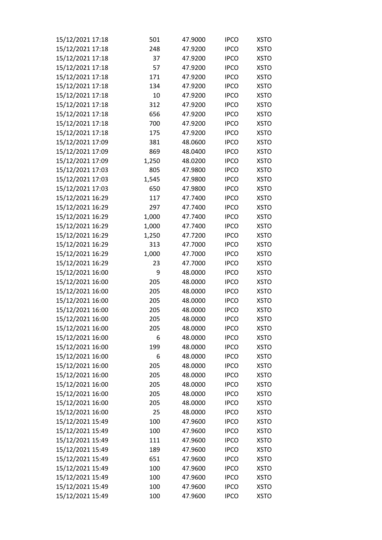| 15/12/2021 17:18 | 501   | 47.9000 | <b>IPCO</b> | <b>XSTO</b> |
|------------------|-------|---------|-------------|-------------|
| 15/12/2021 17:18 | 248   | 47.9200 | <b>IPCO</b> | <b>XSTO</b> |
| 15/12/2021 17:18 | 37    | 47.9200 | <b>IPCO</b> | <b>XSTO</b> |
| 15/12/2021 17:18 | 57    | 47.9200 | <b>IPCO</b> | <b>XSTO</b> |
| 15/12/2021 17:18 | 171   | 47.9200 | <b>IPCO</b> | <b>XSTO</b> |
| 15/12/2021 17:18 | 134   | 47.9200 | <b>IPCO</b> | <b>XSTO</b> |
| 15/12/2021 17:18 | 10    | 47.9200 | <b>IPCO</b> | <b>XSTO</b> |
| 15/12/2021 17:18 | 312   | 47.9200 | <b>IPCO</b> | <b>XSTO</b> |
| 15/12/2021 17:18 | 656   | 47.9200 | <b>IPCO</b> | <b>XSTO</b> |
| 15/12/2021 17:18 | 700   | 47.9200 | <b>IPCO</b> | <b>XSTO</b> |
| 15/12/2021 17:18 | 175   | 47.9200 | <b>IPCO</b> | <b>XSTO</b> |
| 15/12/2021 17:09 | 381   | 48.0600 | <b>IPCO</b> | <b>XSTO</b> |
| 15/12/2021 17:09 | 869   | 48.0400 | <b>IPCO</b> | <b>XSTO</b> |
| 15/12/2021 17:09 | 1,250 | 48.0200 | <b>IPCO</b> | <b>XSTO</b> |
| 15/12/2021 17:03 | 805   | 47.9800 | <b>IPCO</b> | <b>XSTO</b> |
| 15/12/2021 17:03 | 1,545 | 47.9800 | <b>IPCO</b> | <b>XSTO</b> |
| 15/12/2021 17:03 | 650   | 47.9800 | <b>IPCO</b> | <b>XSTO</b> |
| 15/12/2021 16:29 | 117   | 47.7400 | <b>IPCO</b> | <b>XSTO</b> |
| 15/12/2021 16:29 | 297   | 47.7400 | <b>IPCO</b> | <b>XSTO</b> |
| 15/12/2021 16:29 | 1,000 | 47.7400 | <b>IPCO</b> | <b>XSTO</b> |
| 15/12/2021 16:29 | 1,000 | 47.7400 | <b>IPCO</b> | <b>XSTO</b> |
| 15/12/2021 16:29 | 1,250 | 47.7200 | <b>IPCO</b> | <b>XSTO</b> |
| 15/12/2021 16:29 | 313   | 47.7000 | <b>IPCO</b> | <b>XSTO</b> |
| 15/12/2021 16:29 | 1,000 | 47.7000 | <b>IPCO</b> | <b>XSTO</b> |
| 15/12/2021 16:29 | 23    | 47.7000 | <b>IPCO</b> | <b>XSTO</b> |
| 15/12/2021 16:00 | 9     | 48.0000 | <b>IPCO</b> | <b>XSTO</b> |
| 15/12/2021 16:00 | 205   | 48.0000 | <b>IPCO</b> | <b>XSTO</b> |
| 15/12/2021 16:00 | 205   | 48.0000 | <b>IPCO</b> | <b>XSTO</b> |
| 15/12/2021 16:00 | 205   | 48.0000 | <b>IPCO</b> | <b>XSTO</b> |
| 15/12/2021 16:00 | 205   | 48.0000 | <b>IPCO</b> | <b>XSTO</b> |
| 15/12/2021 16:00 | 205   | 48.0000 | <b>IPCO</b> | <b>XSTO</b> |
| 15/12/2021 16:00 | 205   | 48.0000 | <b>IPCO</b> | <b>XSTO</b> |
| 15/12/2021 16:00 | 6     | 48.0000 | <b>IPCO</b> | <b>XSTO</b> |
| 15/12/2021 16:00 | 199   | 48.0000 | <b>IPCO</b> | <b>XSTO</b> |
| 15/12/2021 16:00 | 6     | 48.0000 | <b>IPCO</b> | <b>XSTO</b> |
| 15/12/2021 16:00 | 205   | 48.0000 | <b>IPCO</b> | <b>XSTO</b> |
| 15/12/2021 16:00 | 205   | 48.0000 | <b>IPCO</b> | <b>XSTO</b> |
| 15/12/2021 16:00 | 205   | 48.0000 | <b>IPCO</b> | <b>XSTO</b> |
| 15/12/2021 16:00 | 205   | 48.0000 | <b>IPCO</b> | <b>XSTO</b> |
| 15/12/2021 16:00 | 205   | 48.0000 | <b>IPCO</b> | <b>XSTO</b> |
| 15/12/2021 16:00 | 25    | 48.0000 | <b>IPCO</b> | <b>XSTO</b> |
| 15/12/2021 15:49 | 100   | 47.9600 | <b>IPCO</b> | <b>XSTO</b> |
| 15/12/2021 15:49 | 100   | 47.9600 | <b>IPCO</b> | <b>XSTO</b> |
| 15/12/2021 15:49 | 111   | 47.9600 | <b>IPCO</b> | <b>XSTO</b> |
| 15/12/2021 15:49 | 189   | 47.9600 | <b>IPCO</b> | <b>XSTO</b> |
| 15/12/2021 15:49 | 651   | 47.9600 | <b>IPCO</b> | <b>XSTO</b> |
| 15/12/2021 15:49 | 100   | 47.9600 | <b>IPCO</b> | <b>XSTO</b> |
| 15/12/2021 15:49 | 100   | 47.9600 | <b>IPCO</b> | <b>XSTO</b> |
| 15/12/2021 15:49 | 100   | 47.9600 | <b>IPCO</b> | <b>XSTO</b> |
| 15/12/2021 15:49 | 100   | 47.9600 | <b>IPCO</b> | <b>XSTO</b> |
|                  |       |         |             |             |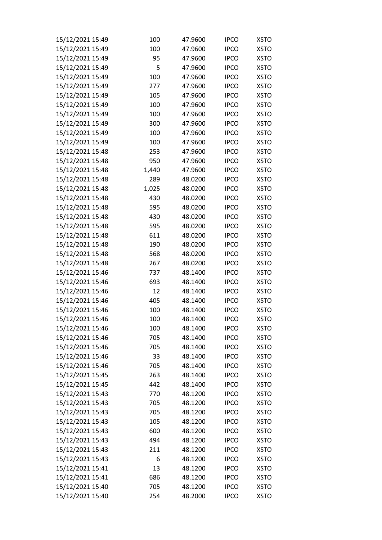| 15/12/2021 15:49 | 100   | 47.9600 | <b>IPCO</b> | <b>XSTO</b> |
|------------------|-------|---------|-------------|-------------|
| 15/12/2021 15:49 | 100   | 47.9600 | <b>IPCO</b> | <b>XSTO</b> |
| 15/12/2021 15:49 | 95    | 47.9600 | <b>IPCO</b> | <b>XSTO</b> |
| 15/12/2021 15:49 | 5     | 47.9600 | <b>IPCO</b> | <b>XSTO</b> |
| 15/12/2021 15:49 | 100   | 47.9600 | <b>IPCO</b> | <b>XSTO</b> |
| 15/12/2021 15:49 | 277   | 47.9600 | <b>IPCO</b> | <b>XSTO</b> |
| 15/12/2021 15:49 | 105   | 47.9600 | <b>IPCO</b> | <b>XSTO</b> |
| 15/12/2021 15:49 | 100   | 47.9600 | <b>IPCO</b> | <b>XSTO</b> |
| 15/12/2021 15:49 | 100   | 47.9600 | <b>IPCO</b> | <b>XSTO</b> |
| 15/12/2021 15:49 | 300   | 47.9600 | <b>IPCO</b> | <b>XSTO</b> |
| 15/12/2021 15:49 | 100   | 47.9600 | <b>IPCO</b> | <b>XSTO</b> |
| 15/12/2021 15:49 | 100   | 47.9600 | <b>IPCO</b> | <b>XSTO</b> |
| 15/12/2021 15:48 | 253   | 47.9600 | <b>IPCO</b> | <b>XSTO</b> |
| 15/12/2021 15:48 | 950   | 47.9600 | <b>IPCO</b> | <b>XSTO</b> |
| 15/12/2021 15:48 | 1,440 | 47.9600 | <b>IPCO</b> | <b>XSTO</b> |
| 15/12/2021 15:48 | 289   | 48.0200 | <b>IPCO</b> | <b>XSTO</b> |
| 15/12/2021 15:48 | 1,025 | 48.0200 | <b>IPCO</b> | <b>XSTO</b> |
| 15/12/2021 15:48 | 430   | 48.0200 | <b>IPCO</b> | <b>XSTO</b> |
| 15/12/2021 15:48 | 595   | 48.0200 | <b>IPCO</b> | <b>XSTO</b> |
| 15/12/2021 15:48 | 430   | 48.0200 | <b>IPCO</b> | <b>XSTO</b> |
| 15/12/2021 15:48 | 595   | 48.0200 | <b>IPCO</b> | <b>XSTO</b> |
| 15/12/2021 15:48 | 611   | 48.0200 | <b>IPCO</b> | <b>XSTO</b> |
| 15/12/2021 15:48 | 190   | 48.0200 | <b>IPCO</b> | <b>XSTO</b> |
| 15/12/2021 15:48 | 568   | 48.0200 | <b>IPCO</b> | <b>XSTO</b> |
| 15/12/2021 15:48 | 267   | 48.0200 | <b>IPCO</b> | <b>XSTO</b> |
| 15/12/2021 15:46 | 737   | 48.1400 | <b>IPCO</b> | <b>XSTO</b> |
| 15/12/2021 15:46 | 693   | 48.1400 | <b>IPCO</b> | <b>XSTO</b> |
| 15/12/2021 15:46 | 12    | 48.1400 | <b>IPCO</b> | <b>XSTO</b> |
| 15/12/2021 15:46 | 405   | 48.1400 | <b>IPCO</b> | <b>XSTO</b> |
| 15/12/2021 15:46 | 100   | 48.1400 | <b>IPCO</b> | <b>XSTO</b> |
| 15/12/2021 15:46 | 100   | 48.1400 | <b>IPCO</b> | <b>XSTO</b> |
| 15/12/2021 15:46 | 100   | 48.1400 | <b>IPCO</b> | <b>XSTO</b> |
| 15/12/2021 15:46 | 705   | 48.1400 | <b>IPCO</b> | <b>XSTO</b> |
| 15/12/2021 15:46 | 705   | 48.1400 | <b>IPCO</b> | <b>XSTO</b> |
| 15/12/2021 15:46 | 33    | 48.1400 | <b>IPCO</b> | <b>XSTO</b> |
| 15/12/2021 15:46 | 705   | 48.1400 | <b>IPCO</b> | <b>XSTO</b> |
| 15/12/2021 15:45 | 263   | 48.1400 | <b>IPCO</b> | <b>XSTO</b> |
| 15/12/2021 15:45 | 442   | 48.1400 | <b>IPCO</b> | <b>XSTO</b> |
| 15/12/2021 15:43 | 770   | 48.1200 | <b>IPCO</b> | <b>XSTO</b> |
| 15/12/2021 15:43 | 705   | 48.1200 | <b>IPCO</b> | <b>XSTO</b> |
| 15/12/2021 15:43 | 705   | 48.1200 | <b>IPCO</b> | <b>XSTO</b> |
| 15/12/2021 15:43 | 105   | 48.1200 | <b>IPCO</b> | <b>XSTO</b> |
| 15/12/2021 15:43 | 600   | 48.1200 | <b>IPCO</b> | <b>XSTO</b> |
| 15/12/2021 15:43 | 494   | 48.1200 | <b>IPCO</b> | <b>XSTO</b> |
| 15/12/2021 15:43 | 211   | 48.1200 | <b>IPCO</b> | <b>XSTO</b> |
| 15/12/2021 15:43 | 6     | 48.1200 | <b>IPCO</b> | <b>XSTO</b> |
| 15/12/2021 15:41 | 13    | 48.1200 | <b>IPCO</b> | <b>XSTO</b> |
| 15/12/2021 15:41 | 686   | 48.1200 | <b>IPCO</b> | <b>XSTO</b> |
| 15/12/2021 15:40 | 705   | 48.1200 | <b>IPCO</b> | <b>XSTO</b> |
| 15/12/2021 15:40 | 254   | 48.2000 | <b>IPCO</b> | <b>XSTO</b> |
|                  |       |         |             |             |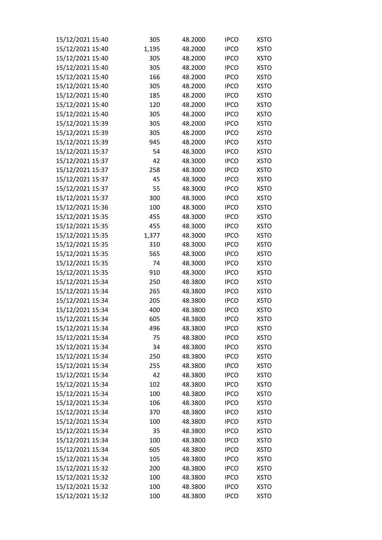| 15/12/2021 15:40 | 305   | 48.2000 | <b>IPCO</b> | <b>XSTO</b> |
|------------------|-------|---------|-------------|-------------|
| 15/12/2021 15:40 | 1,195 | 48.2000 | <b>IPCO</b> | <b>XSTO</b> |
| 15/12/2021 15:40 | 305   | 48.2000 | <b>IPCO</b> | <b>XSTO</b> |
| 15/12/2021 15:40 | 305   | 48.2000 | <b>IPCO</b> | <b>XSTO</b> |
| 15/12/2021 15:40 | 166   | 48.2000 | <b>IPCO</b> | <b>XSTO</b> |
| 15/12/2021 15:40 | 305   | 48.2000 | <b>IPCO</b> | <b>XSTO</b> |
| 15/12/2021 15:40 | 185   | 48.2000 | <b>IPCO</b> | <b>XSTO</b> |
| 15/12/2021 15:40 | 120   | 48.2000 | <b>IPCO</b> | <b>XSTO</b> |
| 15/12/2021 15:40 | 305   | 48.2000 | <b>IPCO</b> | <b>XSTO</b> |
| 15/12/2021 15:39 | 305   | 48.2000 | <b>IPCO</b> | <b>XSTO</b> |
| 15/12/2021 15:39 | 305   | 48.2000 | <b>IPCO</b> | <b>XSTO</b> |
| 15/12/2021 15:39 | 945   | 48.2000 | <b>IPCO</b> | <b>XSTO</b> |
| 15/12/2021 15:37 | 54    | 48.3000 | <b>IPCO</b> | <b>XSTO</b> |
| 15/12/2021 15:37 | 42    | 48.3000 | <b>IPCO</b> | <b>XSTO</b> |
| 15/12/2021 15:37 | 258   | 48.3000 | <b>IPCO</b> | <b>XSTO</b> |
| 15/12/2021 15:37 | 45    | 48.3000 | <b>IPCO</b> | <b>XSTO</b> |
| 15/12/2021 15:37 | 55    | 48.3000 | <b>IPCO</b> | <b>XSTO</b> |
| 15/12/2021 15:37 | 300   | 48.3000 | <b>IPCO</b> | <b>XSTO</b> |
| 15/12/2021 15:36 | 100   | 48.3000 | <b>IPCO</b> | <b>XSTO</b> |
| 15/12/2021 15:35 | 455   | 48.3000 | <b>IPCO</b> | <b>XSTO</b> |
| 15/12/2021 15:35 | 455   | 48.3000 | <b>IPCO</b> | <b>XSTO</b> |
| 15/12/2021 15:35 | 1,377 | 48.3000 | <b>IPCO</b> | <b>XSTO</b> |
| 15/12/2021 15:35 | 310   | 48.3000 | <b>IPCO</b> | <b>XSTO</b> |
| 15/12/2021 15:35 | 565   | 48.3000 | <b>IPCO</b> | <b>XSTO</b> |
| 15/12/2021 15:35 | 74    | 48.3000 | <b>IPCO</b> | <b>XSTO</b> |
| 15/12/2021 15:35 | 910   | 48.3000 | <b>IPCO</b> | <b>XSTO</b> |
|                  | 250   |         | <b>IPCO</b> |             |
| 15/12/2021 15:34 |       | 48.3800 | <b>IPCO</b> | <b>XSTO</b> |
| 15/12/2021 15:34 | 265   | 48.3800 |             | <b>XSTO</b> |
| 15/12/2021 15:34 | 205   | 48.3800 | <b>IPCO</b> | <b>XSTO</b> |
| 15/12/2021 15:34 | 400   | 48.3800 | <b>IPCO</b> | <b>XSTO</b> |
| 15/12/2021 15:34 | 605   | 48.3800 | <b>IPCO</b> | <b>XSTO</b> |
| 15/12/2021 15:34 | 496   | 48.3800 | <b>IPCO</b> | <b>XSTO</b> |
| 15/12/2021 15:34 | 75    | 48.3800 | <b>IPCO</b> | <b>XSTO</b> |
| 15/12/2021 15:34 | 34    | 48.3800 | <b>IPCO</b> | <b>XSTO</b> |
| 15/12/2021 15:34 | 250   | 48.3800 | <b>IPCO</b> | <b>XSTO</b> |
| 15/12/2021 15:34 | 255   | 48.3800 | <b>IPCO</b> | <b>XSTO</b> |
| 15/12/2021 15:34 | 42    | 48.3800 | <b>IPCO</b> | <b>XSTO</b> |
| 15/12/2021 15:34 | 102   | 48.3800 | <b>IPCO</b> | <b>XSTO</b> |
| 15/12/2021 15:34 | 100   | 48.3800 | <b>IPCO</b> | <b>XSTO</b> |
| 15/12/2021 15:34 | 106   | 48.3800 | <b>IPCO</b> | <b>XSTO</b> |
| 15/12/2021 15:34 | 370   | 48.3800 | <b>IPCO</b> | <b>XSTO</b> |
| 15/12/2021 15:34 | 100   | 48.3800 | <b>IPCO</b> | <b>XSTO</b> |
| 15/12/2021 15:34 | 35    | 48.3800 | <b>IPCO</b> | <b>XSTO</b> |
| 15/12/2021 15:34 | 100   | 48.3800 | <b>IPCO</b> | <b>XSTO</b> |
| 15/12/2021 15:34 | 605   | 48.3800 | <b>IPCO</b> | <b>XSTO</b> |
| 15/12/2021 15:34 | 105   | 48.3800 | <b>IPCO</b> | <b>XSTO</b> |
| 15/12/2021 15:32 | 200   | 48.3800 | <b>IPCO</b> | <b>XSTO</b> |
| 15/12/2021 15:32 | 100   | 48.3800 | <b>IPCO</b> | <b>XSTO</b> |
| 15/12/2021 15:32 | 100   | 48.3800 | <b>IPCO</b> | <b>XSTO</b> |
| 15/12/2021 15:32 | 100   | 48.3800 | <b>IPCO</b> | <b>XSTO</b> |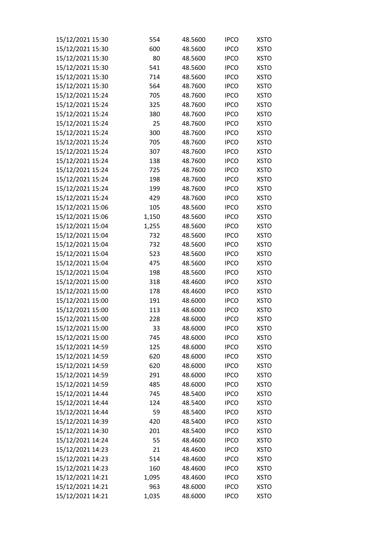| 15/12/2021 15:30 | 554   | 48.5600 | <b>IPCO</b> | <b>XSTO</b> |
|------------------|-------|---------|-------------|-------------|
| 15/12/2021 15:30 | 600   | 48.5600 | <b>IPCO</b> | <b>XSTO</b> |
| 15/12/2021 15:30 | 80    | 48.5600 | <b>IPCO</b> | <b>XSTO</b> |
| 15/12/2021 15:30 | 541   | 48.5600 | <b>IPCO</b> | <b>XSTO</b> |
| 15/12/2021 15:30 | 714   | 48.5600 | <b>IPCO</b> | <b>XSTO</b> |
| 15/12/2021 15:30 | 564   | 48.7600 | <b>IPCO</b> | <b>XSTO</b> |
| 15/12/2021 15:24 | 705   | 48.7600 | <b>IPCO</b> | <b>XSTO</b> |
| 15/12/2021 15:24 | 325   | 48.7600 | <b>IPCO</b> | <b>XSTO</b> |
| 15/12/2021 15:24 | 380   | 48.7600 | <b>IPCO</b> | <b>XSTO</b> |
| 15/12/2021 15:24 | 25    | 48.7600 | <b>IPCO</b> | <b>XSTO</b> |
| 15/12/2021 15:24 | 300   | 48.7600 | <b>IPCO</b> | <b>XSTO</b> |
| 15/12/2021 15:24 | 705   | 48.7600 | <b>IPCO</b> | <b>XSTO</b> |
| 15/12/2021 15:24 | 307   | 48.7600 | <b>IPCO</b> | <b>XSTO</b> |
| 15/12/2021 15:24 | 138   | 48.7600 | <b>IPCO</b> | <b>XSTO</b> |
| 15/12/2021 15:24 | 725   | 48.7600 | <b>IPCO</b> | <b>XSTO</b> |
| 15/12/2021 15:24 | 198   | 48.7600 | <b>IPCO</b> | <b>XSTO</b> |
| 15/12/2021 15:24 | 199   | 48.7600 | <b>IPCO</b> | <b>XSTO</b> |
| 15/12/2021 15:24 | 429   | 48.7600 | <b>IPCO</b> | <b>XSTO</b> |
| 15/12/2021 15:06 | 105   | 48.5600 | <b>IPCO</b> | <b>XSTO</b> |
| 15/12/2021 15:06 | 1,150 | 48.5600 | <b>IPCO</b> | <b>XSTO</b> |
| 15/12/2021 15:04 | 1,255 | 48.5600 | <b>IPCO</b> | <b>XSTO</b> |
| 15/12/2021 15:04 | 732   | 48.5600 | <b>IPCO</b> | <b>XSTO</b> |
| 15/12/2021 15:04 | 732   | 48.5600 | <b>IPCO</b> | <b>XSTO</b> |
| 15/12/2021 15:04 | 523   | 48.5600 | <b>IPCO</b> | <b>XSTO</b> |
| 15/12/2021 15:04 | 475   | 48.5600 | <b>IPCO</b> | <b>XSTO</b> |
| 15/12/2021 15:04 | 198   | 48.5600 | <b>IPCO</b> | <b>XSTO</b> |
| 15/12/2021 15:00 | 318   | 48.4600 | <b>IPCO</b> | <b>XSTO</b> |
| 15/12/2021 15:00 | 178   | 48.4600 | <b>IPCO</b> | <b>XSTO</b> |
| 15/12/2021 15:00 | 191   | 48.6000 | <b>IPCO</b> | <b>XSTO</b> |
| 15/12/2021 15:00 | 113   | 48.6000 | <b>IPCO</b> | <b>XSTO</b> |
| 15/12/2021 15:00 | 228   | 48.6000 | <b>IPCO</b> | <b>XSTO</b> |
| 15/12/2021 15:00 | 33    | 48.6000 | <b>IPCO</b> | <b>XSTO</b> |
| 15/12/2021 15:00 | 745   | 48.6000 | <b>IPCO</b> | <b>XSTO</b> |
| 15/12/2021 14:59 | 125   | 48.6000 | <b>IPCO</b> | <b>XSTO</b> |
| 15/12/2021 14:59 | 620   | 48.6000 | <b>IPCO</b> | <b>XSTO</b> |
| 15/12/2021 14:59 | 620   | 48.6000 | <b>IPCO</b> | <b>XSTO</b> |
| 15/12/2021 14:59 | 291   | 48.6000 | <b>IPCO</b> | <b>XSTO</b> |
| 15/12/2021 14:59 | 485   | 48.6000 | <b>IPCO</b> | <b>XSTO</b> |
| 15/12/2021 14:44 | 745   | 48.5400 | <b>IPCO</b> | <b>XSTO</b> |
| 15/12/2021 14:44 | 124   |         | <b>IPCO</b> | <b>XSTO</b> |
|                  |       | 48.5400 |             |             |
| 15/12/2021 14:44 | 59    | 48.5400 | <b>IPCO</b> | <b>XSTO</b> |
| 15/12/2021 14:39 | 420   | 48.5400 | <b>IPCO</b> | <b>XSTO</b> |
| 15/12/2021 14:30 | 201   | 48.5400 | <b>IPCO</b> | <b>XSTO</b> |
| 15/12/2021 14:24 | 55    | 48.4600 | <b>IPCO</b> | <b>XSTO</b> |
| 15/12/2021 14:23 | 21    | 48.4600 | <b>IPCO</b> | <b>XSTO</b> |
| 15/12/2021 14:23 | 514   | 48.4600 | <b>IPCO</b> | <b>XSTO</b> |
| 15/12/2021 14:23 | 160   | 48.4600 | <b>IPCO</b> | <b>XSTO</b> |
| 15/12/2021 14:21 | 1,095 | 48.4600 | <b>IPCO</b> | <b>XSTO</b> |
| 15/12/2021 14:21 | 963   | 48.6000 | <b>IPCO</b> | <b>XSTO</b> |
| 15/12/2021 14:21 | 1,035 | 48.6000 | <b>IPCO</b> | <b>XSTO</b> |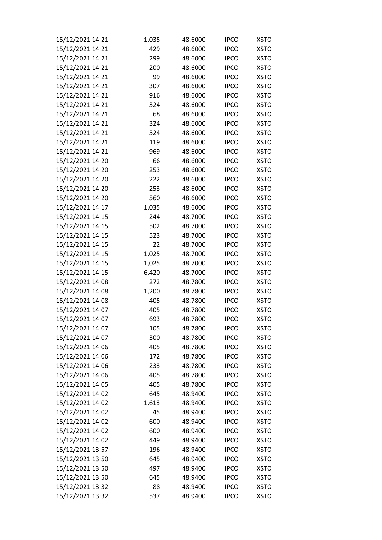| 15/12/2021 14:21 | 1,035      | 48.6000            | <b>IPCO</b> | <b>XSTO</b>                |
|------------------|------------|--------------------|-------------|----------------------------|
| 15/12/2021 14:21 | 429        | 48.6000            | <b>IPCO</b> | <b>XSTO</b>                |
| 15/12/2021 14:21 | 299        | 48.6000            | <b>IPCO</b> | <b>XSTO</b>                |
| 15/12/2021 14:21 | 200        | 48.6000            | <b>IPCO</b> | <b>XSTO</b>                |
| 15/12/2021 14:21 | 99         | 48.6000            | <b>IPCO</b> | <b>XSTO</b>                |
| 15/12/2021 14:21 | 307        | 48.6000            | <b>IPCO</b> | <b>XSTO</b>                |
| 15/12/2021 14:21 | 916        | 48.6000            | <b>IPCO</b> | <b>XSTO</b>                |
| 15/12/2021 14:21 | 324        | 48.6000            | <b>IPCO</b> | <b>XSTO</b>                |
| 15/12/2021 14:21 | 68         | 48.6000            | <b>IPCO</b> | <b>XSTO</b>                |
| 15/12/2021 14:21 | 324        | 48.6000            | <b>IPCO</b> | <b>XSTO</b>                |
| 15/12/2021 14:21 | 524        | 48.6000            | <b>IPCO</b> | <b>XSTO</b>                |
| 15/12/2021 14:21 | 119        | 48.6000            | <b>IPCO</b> | <b>XSTO</b>                |
| 15/12/2021 14:21 | 969        | 48.6000            | <b>IPCO</b> | <b>XSTO</b>                |
| 15/12/2021 14:20 | 66         | 48.6000            | <b>IPCO</b> | <b>XSTO</b>                |
| 15/12/2021 14:20 | 253        | 48.6000            | <b>IPCO</b> | <b>XSTO</b>                |
| 15/12/2021 14:20 | 222        | 48.6000            | <b>IPCO</b> | <b>XSTO</b>                |
| 15/12/2021 14:20 | 253        | 48.6000            | <b>IPCO</b> | <b>XSTO</b>                |
| 15/12/2021 14:20 | 560        | 48.6000            | <b>IPCO</b> | <b>XSTO</b>                |
| 15/12/2021 14:17 | 1,035      | 48.6000            | <b>IPCO</b> | <b>XSTO</b>                |
| 15/12/2021 14:15 | 244        | 48.7000            | <b>IPCO</b> | <b>XSTO</b>                |
| 15/12/2021 14:15 | 502        | 48.7000            | <b>IPCO</b> | <b>XSTO</b>                |
| 15/12/2021 14:15 | 523        | 48.7000            | <b>IPCO</b> | <b>XSTO</b>                |
| 15/12/2021 14:15 | 22         | 48.7000            | <b>IPCO</b> | <b>XSTO</b>                |
| 15/12/2021 14:15 | 1,025      | 48.7000            | <b>IPCO</b> | <b>XSTO</b>                |
| 15/12/2021 14:15 | 1,025      | 48.7000            | <b>IPCO</b> | <b>XSTO</b>                |
| 15/12/2021 14:15 | 6,420      | 48.7000            | <b>IPCO</b> | <b>XSTO</b>                |
| 15/12/2021 14:08 | 272        | 48.7800            | <b>IPCO</b> | <b>XSTO</b>                |
| 15/12/2021 14:08 | 1,200      | 48.7800            | <b>IPCO</b> | <b>XSTO</b>                |
| 15/12/2021 14:08 | 405        | 48.7800            | <b>IPCO</b> | <b>XSTO</b>                |
| 15/12/2021 14:07 |            |                    | <b>IPCO</b> |                            |
| 15/12/2021 14:07 | 405<br>693 | 48.7800<br>48.7800 | <b>IPCO</b> | <b>XSTO</b><br><b>XSTO</b> |
|                  |            |                    |             |                            |
| 15/12/2021 14:07 | 105        | 48.7800            | <b>IPCO</b> | <b>XSTO</b>                |
| 15/12/2021 14:07 | 300        | 48.7800            | <b>IPCO</b> | <b>XSTO</b>                |
| 15/12/2021 14:06 | 405        | 48.7800            | <b>IPCO</b> | <b>XSTO</b>                |
| 15/12/2021 14:06 | 172        | 48.7800            | <b>IPCO</b> | <b>XSTO</b>                |
| 15/12/2021 14:06 | 233        | 48.7800            | <b>IPCO</b> | <b>XSTO</b>                |
| 15/12/2021 14:06 | 405        | 48.7800            | <b>IPCO</b> | <b>XSTO</b>                |
| 15/12/2021 14:05 | 405        | 48.7800            | <b>IPCO</b> | <b>XSTO</b>                |
| 15/12/2021 14:02 | 645        | 48.9400            | <b>IPCO</b> | <b>XSTO</b>                |
| 15/12/2021 14:02 | 1,613      | 48.9400            | <b>IPCO</b> | <b>XSTO</b>                |
| 15/12/2021 14:02 | 45         | 48.9400            | <b>IPCO</b> | <b>XSTO</b>                |
| 15/12/2021 14:02 | 600        | 48.9400            | <b>IPCO</b> | <b>XSTO</b>                |
| 15/12/2021 14:02 | 600        | 48.9400            | <b>IPCO</b> | <b>XSTO</b>                |
| 15/12/2021 14:02 | 449        | 48.9400            | <b>IPCO</b> | <b>XSTO</b>                |
| 15/12/2021 13:57 | 196        | 48.9400            | <b>IPCO</b> | <b>XSTO</b>                |
| 15/12/2021 13:50 | 645        | 48.9400            | <b>IPCO</b> | <b>XSTO</b>                |
| 15/12/2021 13:50 | 497        | 48.9400            | <b>IPCO</b> | <b>XSTO</b>                |
| 15/12/2021 13:50 | 645        | 48.9400            | <b>IPCO</b> | <b>XSTO</b>                |
| 15/12/2021 13:32 | 88         | 48.9400            | <b>IPCO</b> | <b>XSTO</b>                |
| 15/12/2021 13:32 | 537        | 48.9400            | <b>IPCO</b> | <b>XSTO</b>                |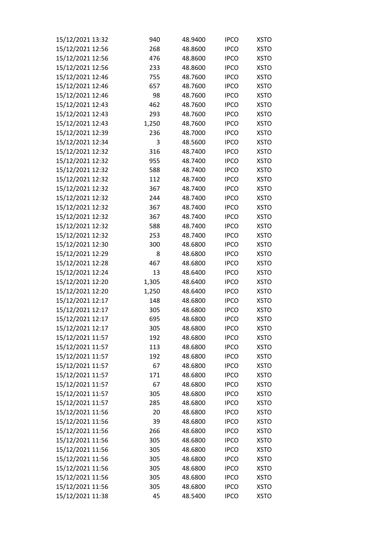| 15/12/2021 13:32 | 940        | 48.9400            | <b>IPCO</b> | <b>XSTO</b>                |
|------------------|------------|--------------------|-------------|----------------------------|
| 15/12/2021 12:56 | 268        | 48.8600            | <b>IPCO</b> | <b>XSTO</b>                |
| 15/12/2021 12:56 | 476        | 48.8600            | <b>IPCO</b> | <b>XSTO</b>                |
| 15/12/2021 12:56 | 233        | 48.8600            | <b>IPCO</b> | <b>XSTO</b>                |
| 15/12/2021 12:46 | 755        | 48.7600            | <b>IPCO</b> | <b>XSTO</b>                |
| 15/12/2021 12:46 | 657        | 48.7600            | <b>IPCO</b> | <b>XSTO</b>                |
| 15/12/2021 12:46 | 98         | 48.7600            | <b>IPCO</b> | <b>XSTO</b>                |
| 15/12/2021 12:43 | 462        | 48.7600            | <b>IPCO</b> | <b>XSTO</b>                |
| 15/12/2021 12:43 | 293        | 48.7600            | <b>IPCO</b> | <b>XSTO</b>                |
| 15/12/2021 12:43 | 1,250      | 48.7600            | <b>IPCO</b> | <b>XSTO</b>                |
| 15/12/2021 12:39 | 236        | 48.7000            | <b>IPCO</b> | <b>XSTO</b>                |
| 15/12/2021 12:34 | 3          | 48.5600            | <b>IPCO</b> | <b>XSTO</b>                |
| 15/12/2021 12:32 | 316        | 48.7400            | <b>IPCO</b> | <b>XSTO</b>                |
| 15/12/2021 12:32 | 955        | 48.7400            | <b>IPCO</b> | <b>XSTO</b>                |
| 15/12/2021 12:32 | 588        | 48.7400            | <b>IPCO</b> | <b>XSTO</b>                |
| 15/12/2021 12:32 | 112        | 48.7400            | <b>IPCO</b> | <b>XSTO</b>                |
| 15/12/2021 12:32 | 367        | 48.7400            | <b>IPCO</b> | <b>XSTO</b>                |
| 15/12/2021 12:32 | 244        | 48.7400            | <b>IPCO</b> | <b>XSTO</b>                |
| 15/12/2021 12:32 | 367        | 48.7400            | <b>IPCO</b> | <b>XSTO</b>                |
| 15/12/2021 12:32 | 367        | 48.7400            | <b>IPCO</b> | <b>XSTO</b>                |
| 15/12/2021 12:32 | 588        | 48.7400            | <b>IPCO</b> | <b>XSTO</b>                |
| 15/12/2021 12:32 | 253        | 48.7400            | <b>IPCO</b> | <b>XSTO</b>                |
| 15/12/2021 12:30 | 300        | 48.6800            | <b>IPCO</b> | <b>XSTO</b>                |
| 15/12/2021 12:29 | 8          | 48.6800            | <b>IPCO</b> | <b>XSTO</b>                |
| 15/12/2021 12:28 | 467        | 48.6800            | <b>IPCO</b> | <b>XSTO</b>                |
| 15/12/2021 12:24 | 13         | 48.6400            | <b>IPCO</b> | <b>XSTO</b>                |
| 15/12/2021 12:20 | 1,305      | 48.6400            | <b>IPCO</b> | <b>XSTO</b>                |
| 15/12/2021 12:20 | 1,250      | 48.6400            | <b>IPCO</b> | <b>XSTO</b>                |
| 15/12/2021 12:17 | 148        | 48.6800            | <b>IPCO</b> | <b>XSTO</b>                |
| 15/12/2021 12:17 | 305        | 48.6800            | <b>IPCO</b> | <b>XSTO</b>                |
| 15/12/2021 12:17 | 695        | 48.6800            | <b>IPCO</b> | <b>XSTO</b>                |
| 15/12/2021 12:17 | 305        | 48.6800            | <b>IPCO</b> | <b>XSTO</b>                |
| 15/12/2021 11:57 | 192        | 48.6800            | <b>IPCO</b> | <b>XSTO</b>                |
| 15/12/2021 11:57 |            |                    | <b>IPCO</b> |                            |
| 15/12/2021 11:57 | 113<br>192 | 48.6800<br>48.6800 | <b>IPCO</b> | <b>XSTO</b><br><b>XSTO</b> |
|                  |            |                    |             |                            |
| 15/12/2021 11:57 | 67         | 48.6800            | <b>IPCO</b> | <b>XSTO</b>                |
| 15/12/2021 11:57 | 171        | 48.6800            | <b>IPCO</b> | <b>XSTO</b>                |
| 15/12/2021 11:57 | 67         | 48.6800            | <b>IPCO</b> | <b>XSTO</b>                |
| 15/12/2021 11:57 | 305        | 48.6800            | <b>IPCO</b> | <b>XSTO</b>                |
| 15/12/2021 11:57 | 285        | 48.6800            | <b>IPCO</b> | <b>XSTO</b>                |
| 15/12/2021 11:56 | 20         | 48.6800            | <b>IPCO</b> | <b>XSTO</b>                |
| 15/12/2021 11:56 | 39         | 48.6800            | <b>IPCO</b> | <b>XSTO</b>                |
| 15/12/2021 11:56 | 266        | 48.6800            | <b>IPCO</b> | <b>XSTO</b>                |
| 15/12/2021 11:56 | 305        | 48.6800            | <b>IPCO</b> | <b>XSTO</b>                |
| 15/12/2021 11:56 | 305        | 48.6800            | <b>IPCO</b> | <b>XSTO</b>                |
| 15/12/2021 11:56 | 305        | 48.6800            | <b>IPCO</b> | <b>XSTO</b>                |
| 15/12/2021 11:56 | 305        | 48.6800            | <b>IPCO</b> | <b>XSTO</b>                |
| 15/12/2021 11:56 | 305        | 48.6800            | <b>IPCO</b> | <b>XSTO</b>                |
| 15/12/2021 11:56 | 305        | 48.6800            | <b>IPCO</b> | <b>XSTO</b>                |
| 15/12/2021 11:38 | 45         | 48.5400            | <b>IPCO</b> | <b>XSTO</b>                |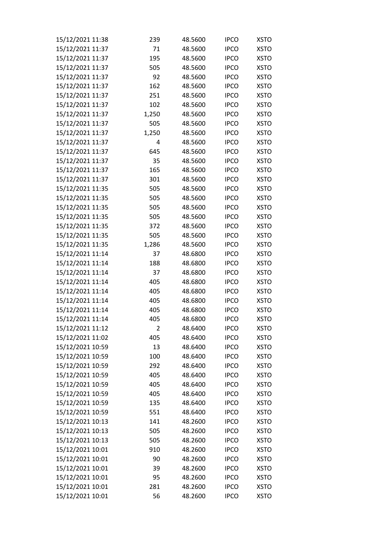| 15/12/2021 11:38 | 239            | 48.5600 | <b>IPCO</b> | <b>XSTO</b> |
|------------------|----------------|---------|-------------|-------------|
| 15/12/2021 11:37 | 71             | 48.5600 | <b>IPCO</b> | <b>XSTO</b> |
| 15/12/2021 11:37 | 195            | 48.5600 | <b>IPCO</b> | <b>XSTO</b> |
| 15/12/2021 11:37 | 505            | 48.5600 | <b>IPCO</b> | <b>XSTO</b> |
| 15/12/2021 11:37 | 92             | 48.5600 | <b>IPCO</b> | <b>XSTO</b> |
| 15/12/2021 11:37 | 162            | 48.5600 | <b>IPCO</b> | <b>XSTO</b> |
| 15/12/2021 11:37 | 251            | 48.5600 | <b>IPCO</b> | <b>XSTO</b> |
| 15/12/2021 11:37 | 102            | 48.5600 | <b>IPCO</b> | <b>XSTO</b> |
| 15/12/2021 11:37 | 1,250          | 48.5600 | <b>IPCO</b> | <b>XSTO</b> |
| 15/12/2021 11:37 | 505            | 48.5600 | <b>IPCO</b> | <b>XSTO</b> |
| 15/12/2021 11:37 | 1,250          | 48.5600 | <b>IPCO</b> | <b>XSTO</b> |
| 15/12/2021 11:37 | 4              | 48.5600 | <b>IPCO</b> | <b>XSTO</b> |
| 15/12/2021 11:37 | 645            | 48.5600 | <b>IPCO</b> | <b>XSTO</b> |
| 15/12/2021 11:37 | 35             | 48.5600 | <b>IPCO</b> | <b>XSTO</b> |
| 15/12/2021 11:37 | 165            | 48.5600 | <b>IPCO</b> | <b>XSTO</b> |
| 15/12/2021 11:37 | 301            | 48.5600 | <b>IPCO</b> | <b>XSTO</b> |
| 15/12/2021 11:35 | 505            | 48.5600 | <b>IPCO</b> | <b>XSTO</b> |
| 15/12/2021 11:35 | 505            | 48.5600 | <b>IPCO</b> | <b>XSTO</b> |
| 15/12/2021 11:35 | 505            | 48.5600 | <b>IPCO</b> | <b>XSTO</b> |
| 15/12/2021 11:35 | 505            | 48.5600 | <b>IPCO</b> | <b>XSTO</b> |
| 15/12/2021 11:35 | 372            | 48.5600 | <b>IPCO</b> | <b>XSTO</b> |
| 15/12/2021 11:35 | 505            | 48.5600 | <b>IPCO</b> | <b>XSTO</b> |
| 15/12/2021 11:35 | 1,286          | 48.5600 | <b>IPCO</b> | <b>XSTO</b> |
| 15/12/2021 11:14 | 37             | 48.6800 | <b>IPCO</b> | <b>XSTO</b> |
| 15/12/2021 11:14 | 188            | 48.6800 | <b>IPCO</b> | <b>XSTO</b> |
| 15/12/2021 11:14 | 37             | 48.6800 | <b>IPCO</b> | <b>XSTO</b> |
| 15/12/2021 11:14 | 405            | 48.6800 | <b>IPCO</b> | <b>XSTO</b> |
| 15/12/2021 11:14 | 405            | 48.6800 | <b>IPCO</b> | <b>XSTO</b> |
| 15/12/2021 11:14 | 405            | 48.6800 | <b>IPCO</b> | <b>XSTO</b> |
| 15/12/2021 11:14 | 405            | 48.6800 | <b>IPCO</b> | <b>XSTO</b> |
| 15/12/2021 11:14 | 405            | 48.6800 | <b>IPCO</b> | <b>XSTO</b> |
| 15/12/2021 11:12 | $\overline{2}$ | 48.6400 | <b>IPCO</b> | <b>XSTO</b> |
| 15/12/2021 11:02 | 405            | 48.6400 | <b>IPCO</b> | <b>XSTO</b> |
| 15/12/2021 10:59 | 13             | 48.6400 | <b>IPCO</b> | <b>XSTO</b> |
| 15/12/2021 10:59 | 100            | 48.6400 | <b>IPCO</b> | <b>XSTO</b> |
| 15/12/2021 10:59 | 292            | 48.6400 | <b>IPCO</b> | <b>XSTO</b> |
| 15/12/2021 10:59 | 405            | 48.6400 | <b>IPCO</b> | <b>XSTO</b> |
| 15/12/2021 10:59 | 405            | 48.6400 | <b>IPCO</b> | <b>XSTO</b> |
| 15/12/2021 10:59 | 405            | 48.6400 | <b>IPCO</b> | <b>XSTO</b> |
|                  |                |         | <b>IPCO</b> | <b>XSTO</b> |
| 15/12/2021 10:59 | 135            | 48.6400 |             |             |
| 15/12/2021 10:59 | 551            | 48.6400 | <b>IPCO</b> | <b>XSTO</b> |
| 15/12/2021 10:13 | 141            | 48.2600 | <b>IPCO</b> | <b>XSTO</b> |
| 15/12/2021 10:13 | 505            | 48.2600 | <b>IPCO</b> | <b>XSTO</b> |
| 15/12/2021 10:13 | 505            | 48.2600 | <b>IPCO</b> | <b>XSTO</b> |
| 15/12/2021 10:01 | 910            | 48.2600 | <b>IPCO</b> | <b>XSTO</b> |
| 15/12/2021 10:01 | 90             | 48.2600 | <b>IPCO</b> | <b>XSTO</b> |
| 15/12/2021 10:01 | 39             | 48.2600 | <b>IPCO</b> | <b>XSTO</b> |
| 15/12/2021 10:01 | 95             | 48.2600 | <b>IPCO</b> | <b>XSTO</b> |
| 15/12/2021 10:01 | 281            | 48.2600 | <b>IPCO</b> | <b>XSTO</b> |
| 15/12/2021 10:01 | 56             | 48.2600 | <b>IPCO</b> | <b>XSTO</b> |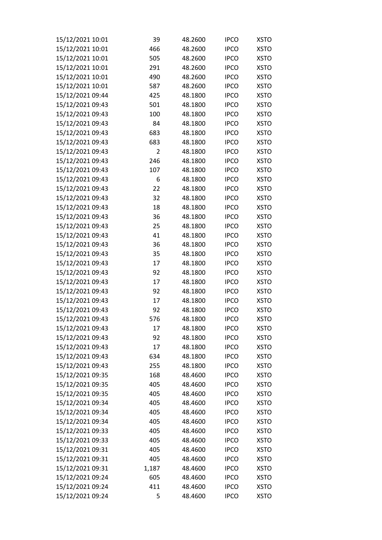| 15/12/2021 10:01 | 39             | 48.2600 | <b>IPCO</b> | <b>XSTO</b> |
|------------------|----------------|---------|-------------|-------------|
| 15/12/2021 10:01 | 466            | 48.2600 | <b>IPCO</b> | <b>XSTO</b> |
| 15/12/2021 10:01 | 505            | 48.2600 | <b>IPCO</b> | <b>XSTO</b> |
| 15/12/2021 10:01 | 291            | 48.2600 | <b>IPCO</b> | <b>XSTO</b> |
| 15/12/2021 10:01 | 490            | 48.2600 | <b>IPCO</b> | <b>XSTO</b> |
| 15/12/2021 10:01 | 587            | 48.2600 | <b>IPCO</b> | <b>XSTO</b> |
| 15/12/2021 09:44 | 425            | 48.1800 | <b>IPCO</b> | <b>XSTO</b> |
| 15/12/2021 09:43 | 501            | 48.1800 | <b>IPCO</b> | <b>XSTO</b> |
| 15/12/2021 09:43 | 100            | 48.1800 | <b>IPCO</b> | <b>XSTO</b> |
| 15/12/2021 09:43 | 84             | 48.1800 | <b>IPCO</b> | <b>XSTO</b> |
| 15/12/2021 09:43 | 683            | 48.1800 | <b>IPCO</b> | <b>XSTO</b> |
| 15/12/2021 09:43 | 683            | 48.1800 | <b>IPCO</b> | <b>XSTO</b> |
| 15/12/2021 09:43 | $\overline{2}$ | 48.1800 | <b>IPCO</b> | <b>XSTO</b> |
| 15/12/2021 09:43 | 246            | 48.1800 | <b>IPCO</b> | <b>XSTO</b> |
| 15/12/2021 09:43 | 107            | 48.1800 | <b>IPCO</b> | <b>XSTO</b> |
| 15/12/2021 09:43 | 6              | 48.1800 | <b>IPCO</b> | <b>XSTO</b> |
| 15/12/2021 09:43 | 22             | 48.1800 | <b>IPCO</b> | <b>XSTO</b> |
| 15/12/2021 09:43 | 32             | 48.1800 | <b>IPCO</b> | <b>XSTO</b> |
| 15/12/2021 09:43 | 18             | 48.1800 | <b>IPCO</b> | <b>XSTO</b> |
| 15/12/2021 09:43 | 36             | 48.1800 | <b>IPCO</b> | <b>XSTO</b> |
| 15/12/2021 09:43 | 25             | 48.1800 | <b>IPCO</b> | <b>XSTO</b> |
| 15/12/2021 09:43 | 41             | 48.1800 | <b>IPCO</b> | <b>XSTO</b> |
| 15/12/2021 09:43 | 36             | 48.1800 | <b>IPCO</b> | <b>XSTO</b> |
| 15/12/2021 09:43 | 35             | 48.1800 | <b>IPCO</b> | <b>XSTO</b> |
| 15/12/2021 09:43 | 17             | 48.1800 | <b>IPCO</b> | <b>XSTO</b> |
| 15/12/2021 09:43 | 92             | 48.1800 | <b>IPCO</b> | <b>XSTO</b> |
| 15/12/2021 09:43 | 17             | 48.1800 | <b>IPCO</b> | <b>XSTO</b> |
| 15/12/2021 09:43 | 92             | 48.1800 | <b>IPCO</b> | <b>XSTO</b> |
| 15/12/2021 09:43 | 17             | 48.1800 | <b>IPCO</b> | <b>XSTO</b> |
| 15/12/2021 09:43 | 92             | 48.1800 | <b>IPCO</b> | <b>XSTO</b> |
| 15/12/2021 09:43 | 576            | 48.1800 | <b>IPCO</b> | <b>XSTO</b> |
| 15/12/2021 09:43 | 17             | 48.1800 | <b>IPCO</b> | <b>XSTO</b> |
| 15/12/2021 09:43 | 92             | 48.1800 | <b>IPCO</b> | <b>XSTO</b> |
| 15/12/2021 09:43 | 17             | 48.1800 | <b>IPCO</b> | <b>XSTO</b> |
| 15/12/2021 09:43 | 634            | 48.1800 | <b>IPCO</b> | <b>XSTO</b> |
| 15/12/2021 09:43 | 255            | 48.1800 | <b>IPCO</b> | <b>XSTO</b> |
| 15/12/2021 09:35 | 168            | 48.4600 | <b>IPCO</b> | <b>XSTO</b> |
| 15/12/2021 09:35 | 405            | 48.4600 | <b>IPCO</b> | <b>XSTO</b> |
| 15/12/2021 09:35 | 405            | 48.4600 | <b>IPCO</b> | <b>XSTO</b> |
| 15/12/2021 09:34 | 405            | 48.4600 | <b>IPCO</b> | <b>XSTO</b> |
| 15/12/2021 09:34 | 405            | 48.4600 | <b>IPCO</b> | <b>XSTO</b> |
| 15/12/2021 09:34 | 405            | 48.4600 | <b>IPCO</b> | <b>XSTO</b> |
| 15/12/2021 09:33 | 405            | 48.4600 | <b>IPCO</b> | <b>XSTO</b> |
| 15/12/2021 09:33 | 405            | 48.4600 | <b>IPCO</b> | <b>XSTO</b> |
| 15/12/2021 09:31 | 405            | 48.4600 | <b>IPCO</b> | <b>XSTO</b> |
| 15/12/2021 09:31 | 405            | 48.4600 | <b>IPCO</b> | <b>XSTO</b> |
| 15/12/2021 09:31 | 1,187          | 48.4600 | <b>IPCO</b> | <b>XSTO</b> |
| 15/12/2021 09:24 | 605            | 48.4600 | <b>IPCO</b> | <b>XSTO</b> |
| 15/12/2021 09:24 | 411            | 48.4600 | <b>IPCO</b> | <b>XSTO</b> |
| 15/12/2021 09:24 | 5              | 48.4600 | <b>IPCO</b> | <b>XSTO</b> |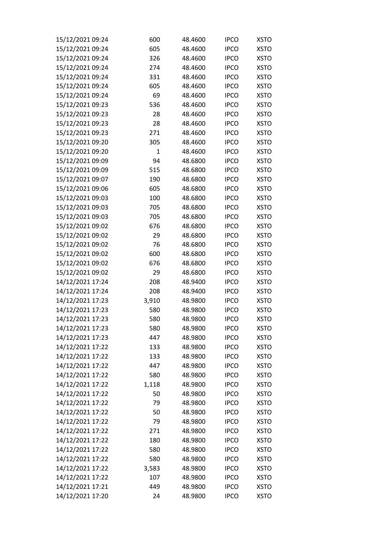| 15/12/2021 09:24 | 600   | 48.4600 | <b>IPCO</b> | <b>XSTO</b> |
|------------------|-------|---------|-------------|-------------|
| 15/12/2021 09:24 | 605   | 48.4600 | <b>IPCO</b> | <b>XSTO</b> |
| 15/12/2021 09:24 | 326   | 48.4600 | <b>IPCO</b> | <b>XSTO</b> |
| 15/12/2021 09:24 | 274   | 48.4600 | <b>IPCO</b> | <b>XSTO</b> |
| 15/12/2021 09:24 | 331   | 48.4600 | <b>IPCO</b> | <b>XSTO</b> |
| 15/12/2021 09:24 | 605   | 48.4600 | <b>IPCO</b> | <b>XSTO</b> |
| 15/12/2021 09:24 | 69    | 48.4600 | <b>IPCO</b> | <b>XSTO</b> |
| 15/12/2021 09:23 | 536   | 48.4600 | <b>IPCO</b> | <b>XSTO</b> |
| 15/12/2021 09:23 | 28    | 48.4600 | <b>IPCO</b> | <b>XSTO</b> |
| 15/12/2021 09:23 | 28    | 48.4600 | <b>IPCO</b> | <b>XSTO</b> |
| 15/12/2021 09:23 | 271   | 48.4600 | <b>IPCO</b> | <b>XSTO</b> |
| 15/12/2021 09:20 | 305   | 48.4600 | <b>IPCO</b> | <b>XSTO</b> |
| 15/12/2021 09:20 | 1     | 48.4600 | <b>IPCO</b> | <b>XSTO</b> |
| 15/12/2021 09:09 | 94    | 48.6800 | <b>IPCO</b> | <b>XSTO</b> |
| 15/12/2021 09:09 | 515   | 48.6800 | <b>IPCO</b> | <b>XSTO</b> |
| 15/12/2021 09:07 | 190   | 48.6800 | <b>IPCO</b> | <b>XSTO</b> |
| 15/12/2021 09:06 | 605   | 48.6800 | <b>IPCO</b> | <b>XSTO</b> |
| 15/12/2021 09:03 | 100   | 48.6800 | <b>IPCO</b> | <b>XSTO</b> |
| 15/12/2021 09:03 | 705   | 48.6800 | <b>IPCO</b> | <b>XSTO</b> |
| 15/12/2021 09:03 | 705   | 48.6800 | <b>IPCO</b> | <b>XSTO</b> |
| 15/12/2021 09:02 | 676   | 48.6800 | <b>IPCO</b> | <b>XSTO</b> |
| 15/12/2021 09:02 | 29    | 48.6800 | <b>IPCO</b> | <b>XSTO</b> |
| 15/12/2021 09:02 | 76    | 48.6800 | <b>IPCO</b> | <b>XSTO</b> |
| 15/12/2021 09:02 | 600   | 48.6800 | <b>IPCO</b> | <b>XSTO</b> |
| 15/12/2021 09:02 | 676   | 48.6800 | <b>IPCO</b> | <b>XSTO</b> |
| 15/12/2021 09:02 | 29    | 48.6800 | <b>IPCO</b> | <b>XSTO</b> |
| 14/12/2021 17:24 | 208   | 48.9400 | <b>IPCO</b> | <b>XSTO</b> |
| 14/12/2021 17:24 | 208   | 48.9400 | <b>IPCO</b> | <b>XSTO</b> |
| 14/12/2021 17:23 | 3,910 | 48.9800 | <b>IPCO</b> | <b>XSTO</b> |
| 14/12/2021 17:23 | 580   | 48.9800 | <b>IPCO</b> | <b>XSTO</b> |
| 14/12/2021 17:23 | 580   | 48.9800 | <b>IPCO</b> | <b>XSTO</b> |
| 14/12/2021 17:23 | 580   | 48.9800 | <b>IPCO</b> | <b>XSTO</b> |
| 14/12/2021 17:23 | 447   | 48.9800 | <b>IPCO</b> | <b>XSTO</b> |
| 14/12/2021 17:22 | 133   | 48.9800 | <b>IPCO</b> | <b>XSTO</b> |
| 14/12/2021 17:22 | 133   | 48.9800 | <b>IPCO</b> | <b>XSTO</b> |
| 14/12/2021 17:22 | 447   | 48.9800 | <b>IPCO</b> | <b>XSTO</b> |
| 14/12/2021 17:22 | 580   | 48.9800 | <b>IPCO</b> | <b>XSTO</b> |
| 14/12/2021 17:22 | 1,118 | 48.9800 | <b>IPCO</b> | <b>XSTO</b> |
| 14/12/2021 17:22 | 50    | 48.9800 | <b>IPCO</b> | <b>XSTO</b> |
| 14/12/2021 17:22 | 79    | 48.9800 | <b>IPCO</b> | <b>XSTO</b> |
| 14/12/2021 17:22 | 50    | 48.9800 | <b>IPCO</b> | <b>XSTO</b> |
| 14/12/2021 17:22 | 79    | 48.9800 | <b>IPCO</b> | <b>XSTO</b> |
| 14/12/2021 17:22 | 271   | 48.9800 | <b>IPCO</b> | <b>XSTO</b> |
| 14/12/2021 17:22 | 180   | 48.9800 | <b>IPCO</b> | <b>XSTO</b> |
| 14/12/2021 17:22 | 580   | 48.9800 | <b>IPCO</b> | <b>XSTO</b> |
| 14/12/2021 17:22 | 580   | 48.9800 | <b>IPCO</b> | <b>XSTO</b> |
| 14/12/2021 17:22 | 3,583 | 48.9800 | <b>IPCO</b> | <b>XSTO</b> |
| 14/12/2021 17:22 | 107   | 48.9800 | <b>IPCO</b> | <b>XSTO</b> |
|                  | 449   |         | <b>IPCO</b> | <b>XSTO</b> |
| 14/12/2021 17:21 | 24    | 48.9800 |             |             |
| 14/12/2021 17:20 |       | 48.9800 | <b>IPCO</b> | <b>XSTO</b> |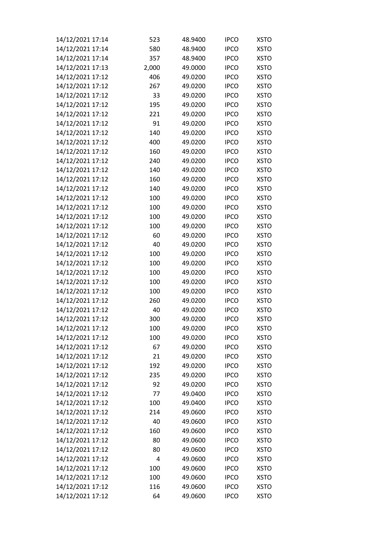| 14/12/2021 17:14 | 523   | 48.9400 | <b>IPCO</b> | <b>XSTO</b> |
|------------------|-------|---------|-------------|-------------|
| 14/12/2021 17:14 | 580   | 48.9400 | <b>IPCO</b> | <b>XSTO</b> |
| 14/12/2021 17:14 | 357   | 48.9400 | <b>IPCO</b> | <b>XSTO</b> |
| 14/12/2021 17:13 | 2,000 | 49.0000 | <b>IPCO</b> | <b>XSTO</b> |
| 14/12/2021 17:12 | 406   | 49.0200 | <b>IPCO</b> | <b>XSTO</b> |
| 14/12/2021 17:12 | 267   | 49.0200 | <b>IPCO</b> | <b>XSTO</b> |
| 14/12/2021 17:12 | 33    | 49.0200 | <b>IPCO</b> | <b>XSTO</b> |
| 14/12/2021 17:12 | 195   | 49.0200 | <b>IPCO</b> | <b>XSTO</b> |
| 14/12/2021 17:12 | 221   | 49.0200 | <b>IPCO</b> | <b>XSTO</b> |
| 14/12/2021 17:12 | 91    | 49.0200 | <b>IPCO</b> | <b>XSTO</b> |
| 14/12/2021 17:12 | 140   | 49.0200 | <b>IPCO</b> | <b>XSTO</b> |
| 14/12/2021 17:12 | 400   | 49.0200 | <b>IPCO</b> | <b>XSTO</b> |
| 14/12/2021 17:12 | 160   | 49.0200 | <b>IPCO</b> | <b>XSTO</b> |
| 14/12/2021 17:12 | 240   | 49.0200 | <b>IPCO</b> | <b>XSTO</b> |
| 14/12/2021 17:12 | 140   | 49.0200 | <b>IPCO</b> | <b>XSTO</b> |
| 14/12/2021 17:12 | 160   | 49.0200 | <b>IPCO</b> | <b>XSTO</b> |
| 14/12/2021 17:12 | 140   | 49.0200 | <b>IPCO</b> | <b>XSTO</b> |
| 14/12/2021 17:12 | 100   | 49.0200 | <b>IPCO</b> | <b>XSTO</b> |
| 14/12/2021 17:12 | 100   | 49.0200 | <b>IPCO</b> | <b>XSTO</b> |
| 14/12/2021 17:12 | 100   | 49.0200 | <b>IPCO</b> | <b>XSTO</b> |
| 14/12/2021 17:12 | 100   | 49.0200 | <b>IPCO</b> | <b>XSTO</b> |
| 14/12/2021 17:12 | 60    | 49.0200 | <b>IPCO</b> | <b>XSTO</b> |
| 14/12/2021 17:12 | 40    | 49.0200 | <b>IPCO</b> | <b>XSTO</b> |
| 14/12/2021 17:12 | 100   | 49.0200 | <b>IPCO</b> | <b>XSTO</b> |
| 14/12/2021 17:12 | 100   | 49.0200 | <b>IPCO</b> | <b>XSTO</b> |
| 14/12/2021 17:12 | 100   | 49.0200 | <b>IPCO</b> | <b>XSTO</b> |
| 14/12/2021 17:12 | 100   | 49.0200 | <b>IPCO</b> | <b>XSTO</b> |
| 14/12/2021 17:12 | 100   | 49.0200 | <b>IPCO</b> | <b>XSTO</b> |
| 14/12/2021 17:12 | 260   | 49.0200 | <b>IPCO</b> | <b>XSTO</b> |
| 14/12/2021 17:12 | 40    | 49.0200 | <b>IPCO</b> | <b>XSTO</b> |
| 14/12/2021 17:12 | 300   | 49.0200 | <b>IPCO</b> | <b>XSTO</b> |
| 14/12/2021 17:12 | 100   | 49.0200 | <b>IPCO</b> | <b>XSTO</b> |
| 14/12/2021 17:12 | 100   | 49.0200 | <b>IPCO</b> | <b>XSTO</b> |
| 14/12/2021 17:12 | 67    | 49.0200 | <b>IPCO</b> | <b>XSTO</b> |
| 14/12/2021 17:12 | 21    | 49.0200 | <b>IPCO</b> | <b>XSTO</b> |
| 14/12/2021 17:12 | 192   | 49.0200 | <b>IPCO</b> | <b>XSTO</b> |
| 14/12/2021 17:12 | 235   | 49.0200 | <b>IPCO</b> | <b>XSTO</b> |
| 14/12/2021 17:12 | 92    | 49.0200 | <b>IPCO</b> | <b>XSTO</b> |
| 14/12/2021 17:12 | 77    | 49.0400 | <b>IPCO</b> | <b>XSTO</b> |
| 14/12/2021 17:12 | 100   | 49.0400 | <b>IPCO</b> | <b>XSTO</b> |
| 14/12/2021 17:12 | 214   | 49.0600 |             | <b>XSTO</b> |
|                  |       | 49.0600 | <b>IPCO</b> |             |
| 14/12/2021 17:12 | 40    |         | <b>IPCO</b> | <b>XSTO</b> |
| 14/12/2021 17:12 | 160   | 49.0600 | <b>IPCO</b> | <b>XSTO</b> |
| 14/12/2021 17:12 | 80    | 49.0600 | <b>IPCO</b> | <b>XSTO</b> |
| 14/12/2021 17:12 | 80    | 49.0600 | <b>IPCO</b> | <b>XSTO</b> |
| 14/12/2021 17:12 | 4     | 49.0600 | <b>IPCO</b> | <b>XSTO</b> |
| 14/12/2021 17:12 | 100   | 49.0600 | <b>IPCO</b> | <b>XSTO</b> |
| 14/12/2021 17:12 | 100   | 49.0600 | <b>IPCO</b> | <b>XSTO</b> |
| 14/12/2021 17:12 | 116   | 49.0600 | <b>IPCO</b> | <b>XSTO</b> |
| 14/12/2021 17:12 | 64    | 49.0600 | <b>IPCO</b> | <b>XSTO</b> |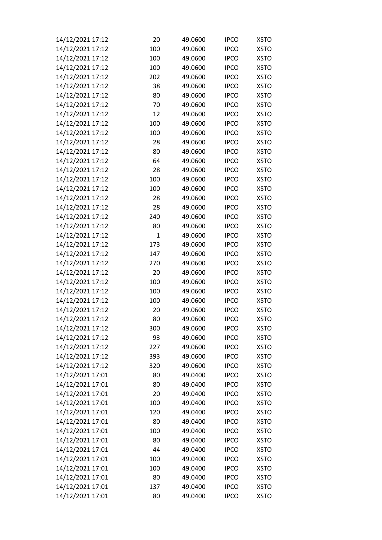| 14/12/2021 17:12 | 20           | 49.0600 | <b>IPCO</b> | <b>XSTO</b> |
|------------------|--------------|---------|-------------|-------------|
| 14/12/2021 17:12 | 100          | 49.0600 | <b>IPCO</b> | <b>XSTO</b> |
| 14/12/2021 17:12 | 100          | 49.0600 | <b>IPCO</b> | <b>XSTO</b> |
| 14/12/2021 17:12 | 100          | 49.0600 | <b>IPCO</b> | <b>XSTO</b> |
| 14/12/2021 17:12 | 202          | 49.0600 | <b>IPCO</b> | <b>XSTO</b> |
| 14/12/2021 17:12 | 38           | 49.0600 | <b>IPCO</b> | <b>XSTO</b> |
| 14/12/2021 17:12 | 80           | 49.0600 | <b>IPCO</b> | <b>XSTO</b> |
| 14/12/2021 17:12 | 70           | 49.0600 | <b>IPCO</b> | <b>XSTO</b> |
| 14/12/2021 17:12 | 12           | 49.0600 | <b>IPCO</b> | <b>XSTO</b> |
| 14/12/2021 17:12 | 100          | 49.0600 | <b>IPCO</b> | <b>XSTO</b> |
| 14/12/2021 17:12 | 100          | 49.0600 | <b>IPCO</b> | <b>XSTO</b> |
| 14/12/2021 17:12 | 28           | 49.0600 | <b>IPCO</b> | <b>XSTO</b> |
| 14/12/2021 17:12 | 80           | 49.0600 | <b>IPCO</b> | <b>XSTO</b> |
| 14/12/2021 17:12 | 64           | 49.0600 | <b>IPCO</b> | <b>XSTO</b> |
| 14/12/2021 17:12 | 28           | 49.0600 | <b>IPCO</b> | <b>XSTO</b> |
| 14/12/2021 17:12 | 100          | 49.0600 | <b>IPCO</b> | <b>XSTO</b> |
| 14/12/2021 17:12 | 100          | 49.0600 | <b>IPCO</b> | <b>XSTO</b> |
| 14/12/2021 17:12 | 28           | 49.0600 | <b>IPCO</b> | <b>XSTO</b> |
| 14/12/2021 17:12 | 28           | 49.0600 | <b>IPCO</b> | <b>XSTO</b> |
| 14/12/2021 17:12 | 240          | 49.0600 | <b>IPCO</b> | <b>XSTO</b> |
| 14/12/2021 17:12 | 80           | 49.0600 | <b>IPCO</b> | <b>XSTO</b> |
| 14/12/2021 17:12 | $\mathbf{1}$ | 49.0600 | <b>IPCO</b> | <b>XSTO</b> |
| 14/12/2021 17:12 | 173          | 49.0600 | <b>IPCO</b> | <b>XSTO</b> |
| 14/12/2021 17:12 | 147          | 49.0600 | <b>IPCO</b> | <b>XSTO</b> |
| 14/12/2021 17:12 | 270          | 49.0600 | <b>IPCO</b> | <b>XSTO</b> |
| 14/12/2021 17:12 | 20           | 49.0600 | <b>IPCO</b> | <b>XSTO</b> |
| 14/12/2021 17:12 | 100          | 49.0600 | <b>IPCO</b> | <b>XSTO</b> |
| 14/12/2021 17:12 | 100          | 49.0600 | <b>IPCO</b> | <b>XSTO</b> |
| 14/12/2021 17:12 | 100          | 49.0600 | <b>IPCO</b> | <b>XSTO</b> |
| 14/12/2021 17:12 | 20           | 49.0600 | <b>IPCO</b> | <b>XSTO</b> |
| 14/12/2021 17:12 | 80           | 49.0600 | <b>IPCO</b> | <b>XSTO</b> |
| 14/12/2021 17:12 | 300          | 49.0600 | <b>IPCO</b> | <b>XSTO</b> |
| 14/12/2021 17:12 | 93           | 49.0600 | <b>IPCO</b> | <b>XSTO</b> |
| 14/12/2021 17:12 | 227          | 49.0600 | <b>IPCO</b> | <b>XSTO</b> |
| 14/12/2021 17:12 | 393          | 49.0600 | <b>IPCO</b> | <b>XSTO</b> |
| 14/12/2021 17:12 | 320          | 49.0600 | <b>IPCO</b> | <b>XSTO</b> |
| 14/12/2021 17:01 | 80           | 49.0400 | <b>IPCO</b> | <b>XSTO</b> |
| 14/12/2021 17:01 | 80           | 49.0400 | <b>IPCO</b> | <b>XSTO</b> |
| 14/12/2021 17:01 | 20           | 49.0400 | <b>IPCO</b> | <b>XSTO</b> |
| 14/12/2021 17:01 | 100          | 49.0400 | <b>IPCO</b> | <b>XSTO</b> |
| 14/12/2021 17:01 | 120          | 49.0400 | <b>IPCO</b> | <b>XSTO</b> |
| 14/12/2021 17:01 | 80           | 49.0400 | <b>IPCO</b> | <b>XSTO</b> |
| 14/12/2021 17:01 | 100          | 49.0400 | <b>IPCO</b> | <b>XSTO</b> |
| 14/12/2021 17:01 | 80           | 49.0400 | <b>IPCO</b> | <b>XSTO</b> |
| 14/12/2021 17:01 | 44           | 49.0400 | <b>IPCO</b> | <b>XSTO</b> |
| 14/12/2021 17:01 | 100          | 49.0400 | <b>IPCO</b> | <b>XSTO</b> |
| 14/12/2021 17:01 | 100          | 49.0400 | <b>IPCO</b> | <b>XSTO</b> |
| 14/12/2021 17:01 | 80           | 49.0400 | <b>IPCO</b> | <b>XSTO</b> |
| 14/12/2021 17:01 | 137          | 49.0400 | <b>IPCO</b> | <b>XSTO</b> |
| 14/12/2021 17:01 | 80           | 49.0400 | <b>IPCO</b> | <b>XSTO</b> |
|                  |              |         |             |             |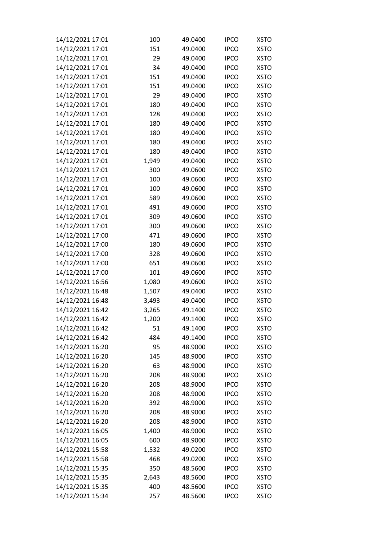| 14/12/2021 17:01 | 100   | 49.0400 | <b>IPCO</b> | <b>XSTO</b> |
|------------------|-------|---------|-------------|-------------|
| 14/12/2021 17:01 | 151   | 49.0400 | <b>IPCO</b> | <b>XSTO</b> |
| 14/12/2021 17:01 | 29    | 49.0400 | <b>IPCO</b> | <b>XSTO</b> |
| 14/12/2021 17:01 | 34    | 49.0400 | <b>IPCO</b> | <b>XSTO</b> |
| 14/12/2021 17:01 | 151   | 49.0400 | <b>IPCO</b> | <b>XSTO</b> |
| 14/12/2021 17:01 | 151   | 49.0400 | <b>IPCO</b> | <b>XSTO</b> |
| 14/12/2021 17:01 | 29    | 49.0400 | <b>IPCO</b> | <b>XSTO</b> |
| 14/12/2021 17:01 | 180   | 49.0400 | <b>IPCO</b> | <b>XSTO</b> |
| 14/12/2021 17:01 | 128   | 49.0400 | <b>IPCO</b> | <b>XSTO</b> |
| 14/12/2021 17:01 | 180   | 49.0400 | <b>IPCO</b> | <b>XSTO</b> |
| 14/12/2021 17:01 | 180   | 49.0400 | <b>IPCO</b> | <b>XSTO</b> |
| 14/12/2021 17:01 | 180   | 49.0400 | <b>IPCO</b> | <b>XSTO</b> |
| 14/12/2021 17:01 | 180   | 49.0400 | <b>IPCO</b> | <b>XSTO</b> |
| 14/12/2021 17:01 | 1,949 | 49.0400 | <b>IPCO</b> | <b>XSTO</b> |
| 14/12/2021 17:01 | 300   | 49.0600 | <b>IPCO</b> | <b>XSTO</b> |
| 14/12/2021 17:01 | 100   | 49.0600 | <b>IPCO</b> | <b>XSTO</b> |
| 14/12/2021 17:01 | 100   | 49.0600 | <b>IPCO</b> | <b>XSTO</b> |
| 14/12/2021 17:01 | 589   | 49.0600 | <b>IPCO</b> | <b>XSTO</b> |
| 14/12/2021 17:01 | 491   | 49.0600 | <b>IPCO</b> | <b>XSTO</b> |
| 14/12/2021 17:01 | 309   | 49.0600 | <b>IPCO</b> | <b>XSTO</b> |
| 14/12/2021 17:01 | 300   | 49.0600 | <b>IPCO</b> | <b>XSTO</b> |
| 14/12/2021 17:00 | 471   | 49.0600 | <b>IPCO</b> | <b>XSTO</b> |
| 14/12/2021 17:00 | 180   | 49.0600 | <b>IPCO</b> | <b>XSTO</b> |
| 14/12/2021 17:00 | 328   | 49.0600 | <b>IPCO</b> | <b>XSTO</b> |
| 14/12/2021 17:00 | 651   | 49.0600 | <b>IPCO</b> | <b>XSTO</b> |
| 14/12/2021 17:00 | 101   | 49.0600 | <b>IPCO</b> | <b>XSTO</b> |
| 14/12/2021 16:56 | 1,080 | 49.0600 | <b>IPCO</b> | <b>XSTO</b> |
| 14/12/2021 16:48 | 1,507 | 49.0400 | <b>IPCO</b> | <b>XSTO</b> |
| 14/12/2021 16:48 | 3,493 | 49.0400 | <b>IPCO</b> | <b>XSTO</b> |
| 14/12/2021 16:42 | 3,265 | 49.1400 | <b>IPCO</b> | <b>XSTO</b> |
| 14/12/2021 16:42 | 1,200 | 49.1400 | <b>IPCO</b> | <b>XSTO</b> |
| 14/12/2021 16:42 | 51    | 49.1400 | <b>IPCO</b> | <b>XSTO</b> |
| 14/12/2021 16:42 | 484   | 49.1400 | <b>IPCO</b> | <b>XSTO</b> |
| 14/12/2021 16:20 | 95    | 48.9000 | <b>IPCO</b> | <b>XSTO</b> |
| 14/12/2021 16:20 | 145   | 48.9000 | <b>IPCO</b> | <b>XSTO</b> |
| 14/12/2021 16:20 | 63    | 48.9000 | <b>IPCO</b> | <b>XSTO</b> |
| 14/12/2021 16:20 |       | 48.9000 |             | <b>XSTO</b> |
|                  | 208   |         | <b>IPCO</b> |             |
| 14/12/2021 16:20 | 208   | 48.9000 | <b>IPCO</b> | <b>XSTO</b> |
| 14/12/2021 16:20 | 208   | 48.9000 | <b>IPCO</b> | <b>XSTO</b> |
| 14/12/2021 16:20 | 392   | 48.9000 | <b>IPCO</b> | <b>XSTO</b> |
| 14/12/2021 16:20 | 208   | 48.9000 | <b>IPCO</b> | <b>XSTO</b> |
| 14/12/2021 16:20 | 208   | 48.9000 | <b>IPCO</b> | <b>XSTO</b> |
| 14/12/2021 16:05 | 1,400 | 48.9000 | <b>IPCO</b> | <b>XSTO</b> |
| 14/12/2021 16:05 | 600   | 48.9000 | <b>IPCO</b> | <b>XSTO</b> |
| 14/12/2021 15:58 | 1,532 | 49.0200 | <b>IPCO</b> | <b>XSTO</b> |
| 14/12/2021 15:58 | 468   | 49.0200 | <b>IPCO</b> | <b>XSTO</b> |
| 14/12/2021 15:35 | 350   | 48.5600 | <b>IPCO</b> | <b>XSTO</b> |
| 14/12/2021 15:35 | 2,643 | 48.5600 | <b>IPCO</b> | <b>XSTO</b> |
| 14/12/2021 15:35 | 400   | 48.5600 | <b>IPCO</b> | <b>XSTO</b> |
| 14/12/2021 15:34 | 257   | 48.5600 | <b>IPCO</b> | <b>XSTO</b> |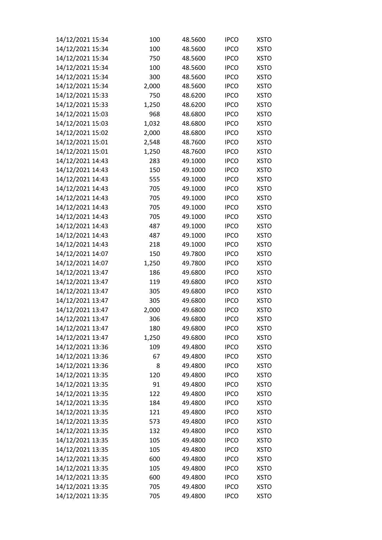| 14/12/2021 15:34 | 100   | 48.5600 | <b>IPCO</b> | <b>XSTO</b> |
|------------------|-------|---------|-------------|-------------|
| 14/12/2021 15:34 | 100   | 48.5600 | <b>IPCO</b> | <b>XSTO</b> |
| 14/12/2021 15:34 | 750   | 48.5600 | <b>IPCO</b> | <b>XSTO</b> |
| 14/12/2021 15:34 | 100   | 48.5600 | <b>IPCO</b> | <b>XSTO</b> |
| 14/12/2021 15:34 | 300   | 48.5600 | <b>IPCO</b> | <b>XSTO</b> |
| 14/12/2021 15:34 | 2,000 | 48.5600 | <b>IPCO</b> | <b>XSTO</b> |
| 14/12/2021 15:33 | 750   | 48.6200 | <b>IPCO</b> | <b>XSTO</b> |
| 14/12/2021 15:33 | 1,250 | 48.6200 | <b>IPCO</b> | <b>XSTO</b> |
| 14/12/2021 15:03 | 968   | 48.6800 | <b>IPCO</b> | <b>XSTO</b> |
| 14/12/2021 15:03 | 1,032 | 48.6800 | <b>IPCO</b> | <b>XSTO</b> |
| 14/12/2021 15:02 | 2,000 | 48.6800 | <b>IPCO</b> | <b>XSTO</b> |
| 14/12/2021 15:01 | 2,548 | 48.7600 | <b>IPCO</b> | <b>XSTO</b> |
| 14/12/2021 15:01 | 1,250 | 48.7600 | <b>IPCO</b> | <b>XSTO</b> |
| 14/12/2021 14:43 | 283   | 49.1000 | <b>IPCO</b> | <b>XSTO</b> |
| 14/12/2021 14:43 | 150   | 49.1000 | <b>IPCO</b> | <b>XSTO</b> |
| 14/12/2021 14:43 | 555   | 49.1000 | <b>IPCO</b> | <b>XSTO</b> |
| 14/12/2021 14:43 | 705   | 49.1000 | <b>IPCO</b> | <b>XSTO</b> |
| 14/12/2021 14:43 | 705   | 49.1000 | <b>IPCO</b> | <b>XSTO</b> |
| 14/12/2021 14:43 | 705   | 49.1000 | <b>IPCO</b> | <b>XSTO</b> |
| 14/12/2021 14:43 | 705   | 49.1000 | <b>IPCO</b> | <b>XSTO</b> |
| 14/12/2021 14:43 | 487   | 49.1000 | <b>IPCO</b> | <b>XSTO</b> |
| 14/12/2021 14:43 | 487   | 49.1000 | <b>IPCO</b> | <b>XSTO</b> |
| 14/12/2021 14:43 | 218   | 49.1000 | <b>IPCO</b> | <b>XSTO</b> |
| 14/12/2021 14:07 | 150   | 49.7800 | <b>IPCO</b> | <b>XSTO</b> |
| 14/12/2021 14:07 | 1,250 | 49.7800 | <b>IPCO</b> | <b>XSTO</b> |
| 14/12/2021 13:47 | 186   | 49.6800 | <b>IPCO</b> | <b>XSTO</b> |
| 14/12/2021 13:47 | 119   | 49.6800 | <b>IPCO</b> | <b>XSTO</b> |
| 14/12/2021 13:47 | 305   | 49.6800 | <b>IPCO</b> | <b>XSTO</b> |
| 14/12/2021 13:47 | 305   | 49.6800 | <b>IPCO</b> | <b>XSTO</b> |
| 14/12/2021 13:47 | 2,000 | 49.6800 | <b>IPCO</b> | <b>XSTO</b> |
| 14/12/2021 13:47 | 306   | 49.6800 | <b>IPCO</b> | <b>XSTO</b> |
| 14/12/2021 13:47 | 180   | 49.6800 | <b>IPCO</b> | <b>XSTO</b> |
| 14/12/2021 13:47 | 1,250 | 49.6800 | <b>IPCO</b> | <b>XSTO</b> |
| 14/12/2021 13:36 | 109   | 49.4800 | <b>IPCO</b> | <b>XSTO</b> |
| 14/12/2021 13:36 | 67    | 49.4800 | <b>IPCO</b> | <b>XSTO</b> |
| 14/12/2021 13:36 | 8     | 49.4800 | <b>IPCO</b> | <b>XSTO</b> |
| 14/12/2021 13:35 | 120   | 49.4800 | <b>IPCO</b> | <b>XSTO</b> |
| 14/12/2021 13:35 | 91    | 49.4800 | <b>IPCO</b> | <b>XSTO</b> |
| 14/12/2021 13:35 | 122   | 49.4800 | <b>IPCO</b> | <b>XSTO</b> |
| 14/12/2021 13:35 | 184   | 49.4800 | <b>IPCO</b> | <b>XSTO</b> |
| 14/12/2021 13:35 | 121   | 49.4800 | <b>IPCO</b> | <b>XSTO</b> |
| 14/12/2021 13:35 | 573   | 49.4800 | <b>IPCO</b> | <b>XSTO</b> |
| 14/12/2021 13:35 | 132   | 49.4800 | <b>IPCO</b> | <b>XSTO</b> |
| 14/12/2021 13:35 | 105   | 49.4800 | <b>IPCO</b> | <b>XSTO</b> |
| 14/12/2021 13:35 | 105   | 49.4800 | <b>IPCO</b> | <b>XSTO</b> |
|                  |       |         |             |             |
| 14/12/2021 13:35 | 600   | 49.4800 | <b>IPCO</b> | <b>XSTO</b> |
| 14/12/2021 13:35 | 105   | 49.4800 | <b>IPCO</b> | <b>XSTO</b> |
| 14/12/2021 13:35 | 600   | 49.4800 | <b>IPCO</b> | <b>XSTO</b> |
| 14/12/2021 13:35 | 705   | 49.4800 | <b>IPCO</b> | <b>XSTO</b> |
| 14/12/2021 13:35 | 705   | 49.4800 | <b>IPCO</b> | <b>XSTO</b> |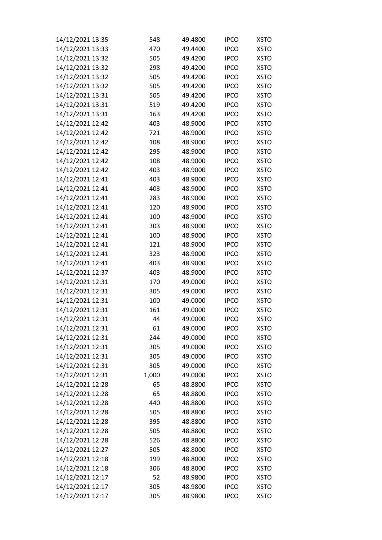| 14/12/2021 13:35 | 548   | 49.4800 | <b>IPCO</b> | <b>XSTO</b> |
|------------------|-------|---------|-------------|-------------|
| 14/12/2021 13:33 | 470   | 49.4400 | <b>IPCO</b> | <b>XSTO</b> |
| 14/12/2021 13:32 | 505   | 49.4200 | <b>IPCO</b> | <b>XSTO</b> |
| 14/12/2021 13:32 | 298   | 49.4200 | <b>IPCO</b> | <b>XSTO</b> |
| 14/12/2021 13:32 | 505   | 49.4200 | <b>IPCO</b> | <b>XSTO</b> |
| 14/12/2021 13:32 | 505   | 49.4200 | <b>IPCO</b> | <b>XSTO</b> |
| 14/12/2021 13:31 | 505   | 49.4200 | <b>IPCO</b> | <b>XSTO</b> |
| 14/12/2021 13:31 | 519   | 49.4200 | <b>IPCO</b> | <b>XSTO</b> |
| 14/12/2021 13:31 | 163   | 49.4200 | <b>IPCO</b> | <b>XSTO</b> |
| 14/12/2021 12:42 | 403   | 48.9000 | <b>IPCO</b> | <b>XSTO</b> |
| 14/12/2021 12:42 | 721   | 48.9000 | <b>IPCO</b> | <b>XSTO</b> |
| 14/12/2021 12:42 | 108   | 48.9000 | <b>IPCO</b> | <b>XSTO</b> |
| 14/12/2021 12:42 | 295   | 48.9000 | <b>IPCO</b> | <b>XSTO</b> |
| 14/12/2021 12:42 | 108   | 48.9000 | <b>IPCO</b> | <b>XSTO</b> |
| 14/12/2021 12:42 | 403   | 48.9000 | <b>IPCO</b> | <b>XSTO</b> |
| 14/12/2021 12:41 | 403   | 48.9000 | <b>IPCO</b> | <b>XSTO</b> |
| 14/12/2021 12:41 | 403   | 48.9000 | <b>IPCO</b> | <b>XSTO</b> |
| 14/12/2021 12:41 | 283   | 48.9000 | <b>IPCO</b> | <b>XSTO</b> |
| 14/12/2021 12:41 | 120   | 48.9000 | <b>IPCO</b> | <b>XSTO</b> |
| 14/12/2021 12:41 | 100   | 48.9000 | <b>IPCO</b> | <b>XSTO</b> |
| 14/12/2021 12:41 | 303   | 48.9000 | <b>IPCO</b> | <b>XSTO</b> |
| 14/12/2021 12:41 | 100   | 48.9000 | <b>IPCO</b> | <b>XSTO</b> |
| 14/12/2021 12:41 | 121   | 48.9000 | <b>IPCO</b> | <b>XSTO</b> |
| 14/12/2021 12:41 | 323   | 48.9000 | <b>IPCO</b> | <b>XSTO</b> |
| 14/12/2021 12:41 | 403   | 48.9000 | <b>IPCO</b> | <b>XSTO</b> |
| 14/12/2021 12:37 | 403   | 48.9000 | <b>IPCO</b> | <b>XSTO</b> |
| 14/12/2021 12:31 | 170   | 49.0000 | <b>IPCO</b> | <b>XSTO</b> |
| 14/12/2021 12:31 | 305   | 49.0000 | <b>IPCO</b> | <b>XSTO</b> |
| 14/12/2021 12:31 | 100   | 49.0000 | <b>IPCO</b> | <b>XSTO</b> |
| 14/12/2021 12:31 | 161   | 49.0000 | <b>IPCO</b> | <b>XSTO</b> |
| 14/12/2021 12:31 | 44    | 49.0000 | <b>IPCO</b> | <b>XSTO</b> |
| 14/12/2021 12:31 | 61    | 49.0000 | <b>IPCO</b> | <b>XSTO</b> |
| 14/12/2021 12:31 | 244   | 49.0000 | <b>IPCO</b> | <b>XSTO</b> |
| 14/12/2021 12:31 | 305   | 49.0000 | <b>IPCO</b> | <b>XSTO</b> |
| 14/12/2021 12:31 | 305   | 49.0000 | <b>IPCO</b> | <b>XSTO</b> |
| 14/12/2021 12:31 | 305   | 49.0000 | <b>IPCO</b> | <b>XSTO</b> |
| 14/12/2021 12:31 | 1,000 | 49.0000 | <b>IPCO</b> | <b>XSTO</b> |
| 14/12/2021 12:28 | 65    | 48.8800 | <b>IPCO</b> | <b>XSTO</b> |
| 14/12/2021 12:28 | 65    | 48.8800 | <b>IPCO</b> | <b>XSTO</b> |
| 14/12/2021 12:28 | 440   | 48.8800 | <b>IPCO</b> | <b>XSTO</b> |
| 14/12/2021 12:28 | 505   | 48.8800 | <b>IPCO</b> | <b>XSTO</b> |
| 14/12/2021 12:28 | 395   | 48.8800 | <b>IPCO</b> | <b>XSTO</b> |
| 14/12/2021 12:28 | 505   | 48.8800 | <b>IPCO</b> | <b>XSTO</b> |
| 14/12/2021 12:28 | 526   | 48.8800 | <b>IPCO</b> | <b>XSTO</b> |
| 14/12/2021 12:27 | 505   | 48.8000 | <b>IPCO</b> | <b>XSTO</b> |
| 14/12/2021 12:18 | 199   | 48.8000 | <b>IPCO</b> | <b>XSTO</b> |
| 14/12/2021 12:18 | 306   | 48.8000 | <b>IPCO</b> | <b>XSTO</b> |
| 14/12/2021 12:17 | 52    | 48.9800 | <b>IPCO</b> | <b>XSTO</b> |
| 14/12/2021 12:17 | 305   | 48.9800 | <b>IPCO</b> | <b>XSTO</b> |
| 14/12/2021 12:17 | 305   | 48.9800 | <b>IPCO</b> | <b>XSTO</b> |
|                  |       |         |             |             |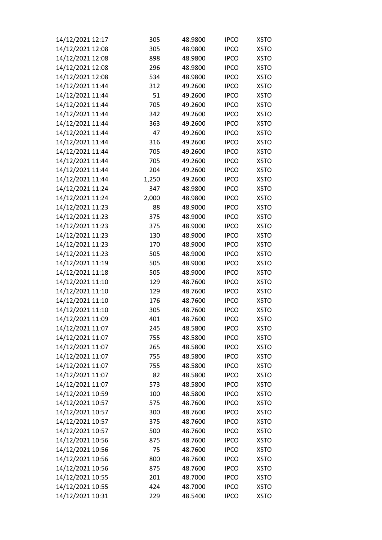| 14/12/2021 12:17 | 305   | 48.9800 | <b>IPCO</b> | <b>XSTO</b> |
|------------------|-------|---------|-------------|-------------|
| 14/12/2021 12:08 | 305   | 48.9800 | <b>IPCO</b> | <b>XSTO</b> |
| 14/12/2021 12:08 | 898   | 48.9800 | <b>IPCO</b> | <b>XSTO</b> |
| 14/12/2021 12:08 | 296   | 48.9800 | <b>IPCO</b> | <b>XSTO</b> |
| 14/12/2021 12:08 | 534   | 48.9800 | <b>IPCO</b> | <b>XSTO</b> |
| 14/12/2021 11:44 | 312   | 49.2600 | <b>IPCO</b> | <b>XSTO</b> |
| 14/12/2021 11:44 | 51    | 49.2600 | <b>IPCO</b> | <b>XSTO</b> |
| 14/12/2021 11:44 | 705   | 49.2600 | <b>IPCO</b> | <b>XSTO</b> |
| 14/12/2021 11:44 | 342   | 49.2600 | <b>IPCO</b> | <b>XSTO</b> |
| 14/12/2021 11:44 | 363   | 49.2600 | <b>IPCO</b> | <b>XSTO</b> |
| 14/12/2021 11:44 | 47    | 49.2600 | <b>IPCO</b> | <b>XSTO</b> |
| 14/12/2021 11:44 | 316   | 49.2600 | <b>IPCO</b> | <b>XSTO</b> |
| 14/12/2021 11:44 | 705   | 49.2600 | <b>IPCO</b> | <b>XSTO</b> |
| 14/12/2021 11:44 | 705   | 49.2600 | <b>IPCO</b> | <b>XSTO</b> |
| 14/12/2021 11:44 | 204   | 49.2600 | <b>IPCO</b> | <b>XSTO</b> |
| 14/12/2021 11:44 | 1,250 | 49.2600 | <b>IPCO</b> | <b>XSTO</b> |
| 14/12/2021 11:24 | 347   | 48.9800 | <b>IPCO</b> | <b>XSTO</b> |
| 14/12/2021 11:24 | 2,000 | 48.9800 | <b>IPCO</b> | <b>XSTO</b> |
| 14/12/2021 11:23 | 88    | 48.9000 | <b>IPCO</b> | <b>XSTO</b> |
| 14/12/2021 11:23 | 375   | 48.9000 | <b>IPCO</b> | <b>XSTO</b> |
| 14/12/2021 11:23 | 375   | 48.9000 | <b>IPCO</b> | <b>XSTO</b> |
| 14/12/2021 11:23 | 130   | 48.9000 | <b>IPCO</b> | <b>XSTO</b> |
| 14/12/2021 11:23 | 170   | 48.9000 | <b>IPCO</b> | <b>XSTO</b> |
| 14/12/2021 11:23 | 505   | 48.9000 | <b>IPCO</b> | <b>XSTO</b> |
| 14/12/2021 11:19 | 505   | 48.9000 | <b>IPCO</b> | <b>XSTO</b> |
| 14/12/2021 11:18 | 505   | 48.9000 | <b>IPCO</b> | <b>XSTO</b> |
|                  |       |         | <b>IPCO</b> |             |
| 14/12/2021 11:10 | 129   | 48.7600 |             | <b>XSTO</b> |
| 14/12/2021 11:10 | 129   | 48.7600 | <b>IPCO</b> | <b>XSTO</b> |
| 14/12/2021 11:10 | 176   | 48.7600 | <b>IPCO</b> | <b>XSTO</b> |
| 14/12/2021 11:10 | 305   | 48.7600 | <b>IPCO</b> | <b>XSTO</b> |
| 14/12/2021 11:09 | 401   | 48.7600 | <b>IPCO</b> | <b>XSTO</b> |
| 14/12/2021 11:07 | 245   | 48.5800 | <b>IPCO</b> | <b>XSTO</b> |
| 14/12/2021 11:07 | 755   | 48.5800 | <b>IPCO</b> | <b>XSTO</b> |
| 14/12/2021 11:07 | 265   | 48.5800 | <b>IPCO</b> | <b>XSTO</b> |
| 14/12/2021 11:07 | 755   | 48.5800 | <b>IPCO</b> | <b>XSTO</b> |
| 14/12/2021 11:07 | 755   | 48.5800 | <b>IPCO</b> | <b>XSTO</b> |
| 14/12/2021 11:07 | 82    | 48.5800 | <b>IPCO</b> | <b>XSTO</b> |
| 14/12/2021 11:07 | 573   | 48.5800 | <b>IPCO</b> | <b>XSTO</b> |
| 14/12/2021 10:59 | 100   | 48.5800 | <b>IPCO</b> | <b>XSTO</b> |
| 14/12/2021 10:57 | 575   | 48.7600 | <b>IPCO</b> | <b>XSTO</b> |
| 14/12/2021 10:57 | 300   | 48.7600 | <b>IPCO</b> | <b>XSTO</b> |
| 14/12/2021 10:57 | 375   | 48.7600 | <b>IPCO</b> | <b>XSTO</b> |
| 14/12/2021 10:57 | 500   | 48.7600 | <b>IPCO</b> | <b>XSTO</b> |
| 14/12/2021 10:56 | 875   | 48.7600 | <b>IPCO</b> | <b>XSTO</b> |
| 14/12/2021 10:56 | 75    | 48.7600 | <b>IPCO</b> | <b>XSTO</b> |
| 14/12/2021 10:56 | 800   | 48.7600 | <b>IPCO</b> | <b>XSTO</b> |
| 14/12/2021 10:56 | 875   | 48.7600 | <b>IPCO</b> | <b>XSTO</b> |
| 14/12/2021 10:55 | 201   | 48.7000 | <b>IPCO</b> | <b>XSTO</b> |
| 14/12/2021 10:55 | 424   | 48.7000 | <b>IPCO</b> | <b>XSTO</b> |
| 14/12/2021 10:31 | 229   | 48.5400 | <b>IPCO</b> | <b>XSTO</b> |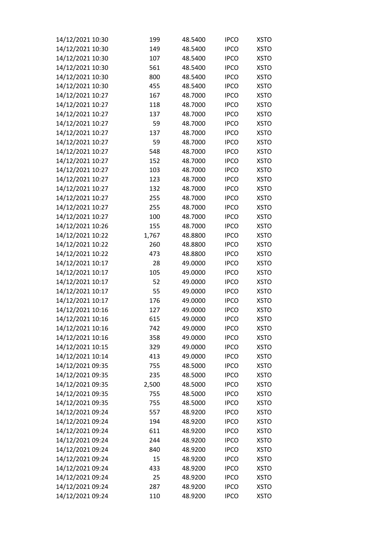| 14/12/2021 10:30 | 199   | 48.5400 | <b>IPCO</b> | <b>XSTO</b> |
|------------------|-------|---------|-------------|-------------|
| 14/12/2021 10:30 | 149   | 48.5400 | <b>IPCO</b> | <b>XSTO</b> |
| 14/12/2021 10:30 | 107   | 48.5400 | <b>IPCO</b> | <b>XSTO</b> |
| 14/12/2021 10:30 | 561   | 48.5400 | <b>IPCO</b> | <b>XSTO</b> |
| 14/12/2021 10:30 | 800   | 48.5400 | <b>IPCO</b> | <b>XSTO</b> |
| 14/12/2021 10:30 | 455   | 48.5400 | <b>IPCO</b> | <b>XSTO</b> |
| 14/12/2021 10:27 | 167   | 48.7000 | <b>IPCO</b> | <b>XSTO</b> |
| 14/12/2021 10:27 | 118   | 48.7000 | <b>IPCO</b> | <b>XSTO</b> |
| 14/12/2021 10:27 | 137   | 48.7000 | <b>IPCO</b> | <b>XSTO</b> |
| 14/12/2021 10:27 | 59    | 48.7000 | <b>IPCO</b> | <b>XSTO</b> |
| 14/12/2021 10:27 | 137   | 48.7000 | <b>IPCO</b> | <b>XSTO</b> |
| 14/12/2021 10:27 | 59    | 48.7000 | <b>IPCO</b> | <b>XSTO</b> |
| 14/12/2021 10:27 | 548   | 48.7000 | <b>IPCO</b> | <b>XSTO</b> |
| 14/12/2021 10:27 | 152   | 48.7000 | <b>IPCO</b> | <b>XSTO</b> |
| 14/12/2021 10:27 | 103   | 48.7000 | <b>IPCO</b> | <b>XSTO</b> |
| 14/12/2021 10:27 | 123   | 48.7000 | <b>IPCO</b> | <b>XSTO</b> |
| 14/12/2021 10:27 | 132   | 48.7000 | <b>IPCO</b> | <b>XSTO</b> |
| 14/12/2021 10:27 | 255   | 48.7000 | <b>IPCO</b> | <b>XSTO</b> |
| 14/12/2021 10:27 | 255   | 48.7000 | <b>IPCO</b> | <b>XSTO</b> |
| 14/12/2021 10:27 | 100   | 48.7000 | <b>IPCO</b> | <b>XSTO</b> |
| 14/12/2021 10:26 | 155   | 48.7000 | <b>IPCO</b> | <b>XSTO</b> |
| 14/12/2021 10:22 | 1,767 | 48.8800 | <b>IPCO</b> | <b>XSTO</b> |
| 14/12/2021 10:22 | 260   | 48.8800 | <b>IPCO</b> | <b>XSTO</b> |
| 14/12/2021 10:22 | 473   | 48.8800 | <b>IPCO</b> | <b>XSTO</b> |
| 14/12/2021 10:17 | 28    | 49.0000 | <b>IPCO</b> | <b>XSTO</b> |
| 14/12/2021 10:17 | 105   | 49.0000 | <b>IPCO</b> | <b>XSTO</b> |
| 14/12/2021 10:17 | 52    | 49.0000 | <b>IPCO</b> | <b>XSTO</b> |
| 14/12/2021 10:17 | 55    | 49.0000 | <b>IPCO</b> | <b>XSTO</b> |
| 14/12/2021 10:17 | 176   | 49.0000 | <b>IPCO</b> | <b>XSTO</b> |
| 14/12/2021 10:16 | 127   | 49.0000 | <b>IPCO</b> | <b>XSTO</b> |
| 14/12/2021 10:16 | 615   | 49.0000 | <b>IPCO</b> | <b>XSTO</b> |
| 14/12/2021 10:16 | 742   | 49.0000 | <b>IPCO</b> | <b>XSTO</b> |
| 14/12/2021 10:16 | 358   | 49.0000 | <b>IPCO</b> | <b>XSTO</b> |
| 14/12/2021 10:15 | 329   | 49.0000 | <b>IPCO</b> | <b>XSTO</b> |
| 14/12/2021 10:14 | 413   | 49.0000 | <b>IPCO</b> | <b>XSTO</b> |
| 14/12/2021 09:35 | 755   | 48.5000 | <b>IPCO</b> | <b>XSTO</b> |
| 14/12/2021 09:35 | 235   | 48.5000 | <b>IPCO</b> | <b>XSTO</b> |
| 14/12/2021 09:35 | 2,500 | 48.5000 | <b>IPCO</b> | <b>XSTO</b> |
|                  | 755   | 48.5000 | <b>IPCO</b> | <b>XSTO</b> |
| 14/12/2021 09:35 |       |         |             |             |
| 14/12/2021 09:35 | 755   | 48.5000 | <b>IPCO</b> | <b>XSTO</b> |
| 14/12/2021 09:24 | 557   | 48.9200 | <b>IPCO</b> | <b>XSTO</b> |
| 14/12/2021 09:24 | 194   | 48.9200 | <b>IPCO</b> | <b>XSTO</b> |
| 14/12/2021 09:24 | 611   | 48.9200 | <b>IPCO</b> | <b>XSTO</b> |
| 14/12/2021 09:24 | 244   | 48.9200 | <b>IPCO</b> | <b>XSTO</b> |
| 14/12/2021 09:24 | 840   | 48.9200 | <b>IPCO</b> | <b>XSTO</b> |
| 14/12/2021 09:24 | 15    | 48.9200 | <b>IPCO</b> | <b>XSTO</b> |
| 14/12/2021 09:24 | 433   | 48.9200 | <b>IPCO</b> | <b>XSTO</b> |
| 14/12/2021 09:24 | 25    | 48.9200 | <b>IPCO</b> | <b>XSTO</b> |
| 14/12/2021 09:24 | 287   | 48.9200 | <b>IPCO</b> | <b>XSTO</b> |
| 14/12/2021 09:24 | 110   | 48.9200 | <b>IPCO</b> | <b>XSTO</b> |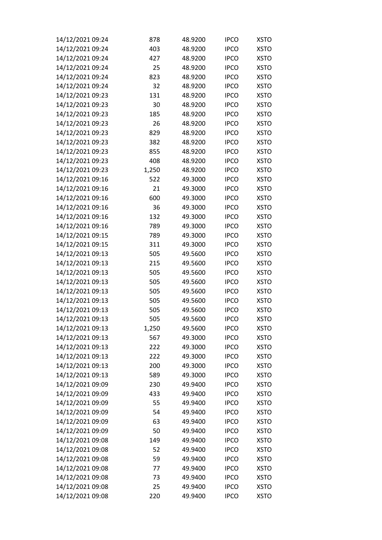| 14/12/2021 09:24 | 878   | 48.9200 | <b>IPCO</b> | <b>XSTO</b> |
|------------------|-------|---------|-------------|-------------|
| 14/12/2021 09:24 | 403   | 48.9200 | <b>IPCO</b> | <b>XSTO</b> |
| 14/12/2021 09:24 | 427   | 48.9200 | <b>IPCO</b> | <b>XSTO</b> |
| 14/12/2021 09:24 | 25    | 48.9200 | <b>IPCO</b> | <b>XSTO</b> |
| 14/12/2021 09:24 | 823   | 48.9200 | <b>IPCO</b> | <b>XSTO</b> |
| 14/12/2021 09:24 | 32    | 48.9200 | <b>IPCO</b> | <b>XSTO</b> |
| 14/12/2021 09:23 | 131   | 48.9200 | <b>IPCO</b> | <b>XSTO</b> |
| 14/12/2021 09:23 | 30    | 48.9200 | <b>IPCO</b> | <b>XSTO</b> |
| 14/12/2021 09:23 | 185   | 48.9200 | <b>IPCO</b> | <b>XSTO</b> |
| 14/12/2021 09:23 | 26    | 48.9200 | <b>IPCO</b> | <b>XSTO</b> |
| 14/12/2021 09:23 | 829   | 48.9200 | <b>IPCO</b> | <b>XSTO</b> |
| 14/12/2021 09:23 | 382   | 48.9200 | <b>IPCO</b> | <b>XSTO</b> |
| 14/12/2021 09:23 | 855   | 48.9200 | <b>IPCO</b> | <b>XSTO</b> |
| 14/12/2021 09:23 | 408   | 48.9200 | <b>IPCO</b> | <b>XSTO</b> |
| 14/12/2021 09:23 | 1,250 | 48.9200 | <b>IPCO</b> | <b>XSTO</b> |
| 14/12/2021 09:16 | 522   | 49.3000 | <b>IPCO</b> | <b>XSTO</b> |
| 14/12/2021 09:16 | 21    | 49.3000 | <b>IPCO</b> | <b>XSTO</b> |
| 14/12/2021 09:16 | 600   | 49.3000 | <b>IPCO</b> | <b>XSTO</b> |
| 14/12/2021 09:16 | 36    | 49.3000 | <b>IPCO</b> | <b>XSTO</b> |
| 14/12/2021 09:16 | 132   | 49.3000 | <b>IPCO</b> | <b>XSTO</b> |
| 14/12/2021 09:16 | 789   | 49.3000 | <b>IPCO</b> | <b>XSTO</b> |
| 14/12/2021 09:15 | 789   | 49.3000 | <b>IPCO</b> | <b>XSTO</b> |
| 14/12/2021 09:15 | 311   | 49.3000 | <b>IPCO</b> | <b>XSTO</b> |
| 14/12/2021 09:13 | 505   | 49.5600 | <b>IPCO</b> | <b>XSTO</b> |
| 14/12/2021 09:13 | 215   | 49.5600 | <b>IPCO</b> | <b>XSTO</b> |
| 14/12/2021 09:13 | 505   | 49.5600 | <b>IPCO</b> | <b>XSTO</b> |
| 14/12/2021 09:13 | 505   | 49.5600 | <b>IPCO</b> | <b>XSTO</b> |
| 14/12/2021 09:13 | 505   | 49.5600 | <b>IPCO</b> | <b>XSTO</b> |
| 14/12/2021 09:13 | 505   | 49.5600 | <b>IPCO</b> | <b>XSTO</b> |
| 14/12/2021 09:13 | 505   | 49.5600 | <b>IPCO</b> | <b>XSTO</b> |
| 14/12/2021 09:13 | 505   | 49.5600 | <b>IPCO</b> | <b>XSTO</b> |
| 14/12/2021 09:13 | 1,250 | 49.5600 | <b>IPCO</b> | <b>XSTO</b> |
| 14/12/2021 09:13 | 567   | 49.3000 | <b>IPCO</b> | <b>XSTO</b> |
| 14/12/2021 09:13 | 222   | 49.3000 | <b>IPCO</b> | <b>XSTO</b> |
| 14/12/2021 09:13 | 222   | 49.3000 | <b>IPCO</b> | <b>XSTO</b> |
| 14/12/2021 09:13 | 200   | 49.3000 | <b>IPCO</b> | <b>XSTO</b> |
| 14/12/2021 09:13 | 589   | 49.3000 | <b>IPCO</b> | <b>XSTO</b> |
| 14/12/2021 09:09 | 230   | 49.9400 | <b>IPCO</b> | <b>XSTO</b> |
| 14/12/2021 09:09 | 433   | 49.9400 | <b>IPCO</b> | <b>XSTO</b> |
|                  |       |         | <b>IPCO</b> |             |
| 14/12/2021 09:09 | 55    | 49.9400 |             | <b>XSTO</b> |
| 14/12/2021 09:09 | 54    | 49.9400 | <b>IPCO</b> | <b>XSTO</b> |
| 14/12/2021 09:09 | 63    | 49.9400 | <b>IPCO</b> | <b>XSTO</b> |
| 14/12/2021 09:09 | 50    | 49.9400 | <b>IPCO</b> | <b>XSTO</b> |
| 14/12/2021 09:08 | 149   | 49.9400 | <b>IPCO</b> | <b>XSTO</b> |
| 14/12/2021 09:08 | 52    | 49.9400 | <b>IPCO</b> | <b>XSTO</b> |
| 14/12/2021 09:08 | 59    | 49.9400 | <b>IPCO</b> | <b>XSTO</b> |
| 14/12/2021 09:08 | 77    | 49.9400 | <b>IPCO</b> | <b>XSTO</b> |
| 14/12/2021 09:08 | 73    | 49.9400 | <b>IPCO</b> | <b>XSTO</b> |
| 14/12/2021 09:08 | 25    | 49.9400 | <b>IPCO</b> | <b>XSTO</b> |
| 14/12/2021 09:08 | 220   | 49.9400 | <b>IPCO</b> | <b>XSTO</b> |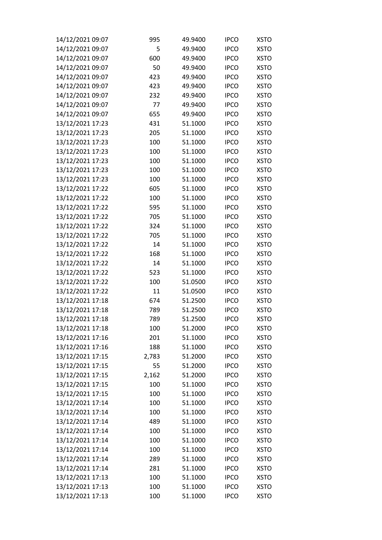| 14/12/2021 09:07 | 995   | 49.9400 | <b>IPCO</b> | <b>XSTO</b> |
|------------------|-------|---------|-------------|-------------|
| 14/12/2021 09:07 | 5     | 49.9400 | <b>IPCO</b> | <b>XSTO</b> |
| 14/12/2021 09:07 | 600   | 49.9400 | <b>IPCO</b> | <b>XSTO</b> |
| 14/12/2021 09:07 | 50    | 49.9400 | <b>IPCO</b> | <b>XSTO</b> |
| 14/12/2021 09:07 | 423   | 49.9400 | <b>IPCO</b> | <b>XSTO</b> |
| 14/12/2021 09:07 | 423   | 49.9400 | <b>IPCO</b> | <b>XSTO</b> |
| 14/12/2021 09:07 | 232   | 49.9400 | <b>IPCO</b> | <b>XSTO</b> |
| 14/12/2021 09:07 | 77    | 49.9400 | <b>IPCO</b> | <b>XSTO</b> |
| 14/12/2021 09:07 | 655   | 49.9400 | <b>IPCO</b> | <b>XSTO</b> |
| 13/12/2021 17:23 | 431   | 51.1000 | <b>IPCO</b> | <b>XSTO</b> |
| 13/12/2021 17:23 | 205   | 51.1000 | <b>IPCO</b> | <b>XSTO</b> |
| 13/12/2021 17:23 | 100   | 51.1000 | <b>IPCO</b> | <b>XSTO</b> |
| 13/12/2021 17:23 | 100   | 51.1000 | <b>IPCO</b> | <b>XSTO</b> |
| 13/12/2021 17:23 | 100   | 51.1000 | <b>IPCO</b> | <b>XSTO</b> |
| 13/12/2021 17:23 | 100   | 51.1000 | <b>IPCO</b> | <b>XSTO</b> |
| 13/12/2021 17:23 | 100   | 51.1000 | <b>IPCO</b> | <b>XSTO</b> |
| 13/12/2021 17:22 | 605   | 51.1000 | <b>IPCO</b> | <b>XSTO</b> |
| 13/12/2021 17:22 | 100   | 51.1000 | <b>IPCO</b> | <b>XSTO</b> |
| 13/12/2021 17:22 | 595   | 51.1000 | <b>IPCO</b> | <b>XSTO</b> |
| 13/12/2021 17:22 | 705   | 51.1000 | <b>IPCO</b> | <b>XSTO</b> |
| 13/12/2021 17:22 | 324   | 51.1000 | <b>IPCO</b> | <b>XSTO</b> |
| 13/12/2021 17:22 | 705   | 51.1000 | <b>IPCO</b> | <b>XSTO</b> |
| 13/12/2021 17:22 | 14    | 51.1000 | <b>IPCO</b> | <b>XSTO</b> |
| 13/12/2021 17:22 | 168   | 51.1000 | <b>IPCO</b> | <b>XSTO</b> |
| 13/12/2021 17:22 | 14    | 51.1000 | <b>IPCO</b> | <b>XSTO</b> |
| 13/12/2021 17:22 | 523   | 51.1000 | <b>IPCO</b> | <b>XSTO</b> |
| 13/12/2021 17:22 | 100   | 51.0500 | <b>IPCO</b> | <b>XSTO</b> |
| 13/12/2021 17:22 | 11    | 51.0500 | <b>IPCO</b> | <b>XSTO</b> |
| 13/12/2021 17:18 | 674   | 51.2500 | <b>IPCO</b> | <b>XSTO</b> |
| 13/12/2021 17:18 | 789   | 51.2500 | <b>IPCO</b> | <b>XSTO</b> |
| 13/12/2021 17:18 | 789   | 51.2500 | <b>IPCO</b> | <b>XSTO</b> |
| 13/12/2021 17:18 | 100   | 51.2000 | <b>IPCO</b> | <b>XSTO</b> |
| 13/12/2021 17:16 | 201   | 51.1000 | <b>IPCO</b> | <b>XSTO</b> |
| 13/12/2021 17:16 | 188   | 51.1000 | <b>IPCO</b> | <b>XSTO</b> |
| 13/12/2021 17:15 | 2,783 | 51.2000 | <b>IPCO</b> | <b>XSTO</b> |
| 13/12/2021 17:15 | 55    | 51.2000 | <b>IPCO</b> | <b>XSTO</b> |
| 13/12/2021 17:15 | 2,162 | 51.2000 | <b>IPCO</b> | <b>XSTO</b> |
| 13/12/2021 17:15 | 100   | 51.1000 | <b>IPCO</b> | <b>XSTO</b> |
| 13/12/2021 17:15 | 100   | 51.1000 | <b>IPCO</b> | <b>XSTO</b> |
| 13/12/2021 17:14 | 100   | 51.1000 | <b>IPCO</b> | <b>XSTO</b> |
|                  |       |         |             |             |
| 13/12/2021 17:14 | 100   | 51.1000 | <b>IPCO</b> | <b>XSTO</b> |
| 13/12/2021 17:14 | 489   | 51.1000 | <b>IPCO</b> | <b>XSTO</b> |
| 13/12/2021 17:14 | 100   | 51.1000 | <b>IPCO</b> | <b>XSTO</b> |
| 13/12/2021 17:14 | 100   | 51.1000 | <b>IPCO</b> | <b>XSTO</b> |
| 13/12/2021 17:14 | 100   | 51.1000 | <b>IPCO</b> | <b>XSTO</b> |
| 13/12/2021 17:14 | 289   | 51.1000 | <b>IPCO</b> | <b>XSTO</b> |
| 13/12/2021 17:14 | 281   | 51.1000 | <b>IPCO</b> | <b>XSTO</b> |
| 13/12/2021 17:13 | 100   | 51.1000 | <b>IPCO</b> | <b>XSTO</b> |
| 13/12/2021 17:13 | 100   | 51.1000 | <b>IPCO</b> | <b>XSTO</b> |
| 13/12/2021 17:13 | 100   | 51.1000 | <b>IPCO</b> | <b>XSTO</b> |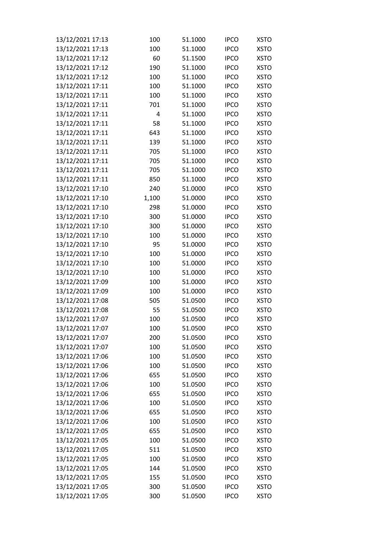| 13/12/2021 17:13 | 100   | 51.1000 | <b>IPCO</b> | <b>XSTO</b> |
|------------------|-------|---------|-------------|-------------|
| 13/12/2021 17:13 | 100   | 51.1000 | <b>IPCO</b> | <b>XSTO</b> |
| 13/12/2021 17:12 | 60    | 51.1500 | <b>IPCO</b> | <b>XSTO</b> |
| 13/12/2021 17:12 | 190   | 51.1000 | <b>IPCO</b> | <b>XSTO</b> |
| 13/12/2021 17:12 | 100   | 51.1000 | <b>IPCO</b> | <b>XSTO</b> |
| 13/12/2021 17:11 | 100   | 51.1000 | <b>IPCO</b> | <b>XSTO</b> |
| 13/12/2021 17:11 | 100   | 51.1000 | <b>IPCO</b> | <b>XSTO</b> |
| 13/12/2021 17:11 | 701   | 51.1000 | <b>IPCO</b> | <b>XSTO</b> |
| 13/12/2021 17:11 | 4     | 51.1000 | <b>IPCO</b> | <b>XSTO</b> |
| 13/12/2021 17:11 | 58    | 51.1000 | <b>IPCO</b> | <b>XSTO</b> |
| 13/12/2021 17:11 | 643   | 51.1000 | <b>IPCO</b> | <b>XSTO</b> |
| 13/12/2021 17:11 | 139   | 51.1000 | <b>IPCO</b> | <b>XSTO</b> |
| 13/12/2021 17:11 | 705   | 51.1000 | <b>IPCO</b> | <b>XSTO</b> |
| 13/12/2021 17:11 | 705   | 51.1000 | <b>IPCO</b> | <b>XSTO</b> |
| 13/12/2021 17:11 | 705   | 51.1000 | <b>IPCO</b> | <b>XSTO</b> |
| 13/12/2021 17:11 | 850   | 51.1000 | <b>IPCO</b> | <b>XSTO</b> |
| 13/12/2021 17:10 | 240   | 51.0000 | <b>IPCO</b> | <b>XSTO</b> |
| 13/12/2021 17:10 | 1,100 | 51.0000 | <b>IPCO</b> | <b>XSTO</b> |
| 13/12/2021 17:10 | 298   | 51.0000 | <b>IPCO</b> | <b>XSTO</b> |
| 13/12/2021 17:10 | 300   | 51.0000 | <b>IPCO</b> | <b>XSTO</b> |
| 13/12/2021 17:10 | 300   | 51.0000 | <b>IPCO</b> | <b>XSTO</b> |
| 13/12/2021 17:10 | 100   | 51.0000 | <b>IPCO</b> | <b>XSTO</b> |
| 13/12/2021 17:10 | 95    | 51.0000 | <b>IPCO</b> | <b>XSTO</b> |
| 13/12/2021 17:10 | 100   | 51.0000 | <b>IPCO</b> | <b>XSTO</b> |
| 13/12/2021 17:10 | 100   | 51.0000 | <b>IPCO</b> | <b>XSTO</b> |
| 13/12/2021 17:10 | 100   | 51.0000 | <b>IPCO</b> | <b>XSTO</b> |
| 13/12/2021 17:09 | 100   | 51.0000 | <b>IPCO</b> | <b>XSTO</b> |
| 13/12/2021 17:09 | 100   | 51.0000 | <b>IPCO</b> | <b>XSTO</b> |
| 13/12/2021 17:08 | 505   | 51.0500 | <b>IPCO</b> | <b>XSTO</b> |
| 13/12/2021 17:08 | 55    | 51.0500 | <b>IPCO</b> | <b>XSTO</b> |
| 13/12/2021 17:07 | 100   | 51.0500 | <b>IPCO</b> | <b>XSTO</b> |
| 13/12/2021 17:07 | 100   | 51.0500 | <b>IPCO</b> | <b>XSTO</b> |
| 13/12/2021 17:07 | 200   | 51.0500 | <b>IPCO</b> | <b>XSTO</b> |
| 13/12/2021 17:07 | 100   | 51.0500 | <b>IPCO</b> | <b>XSTO</b> |
| 13/12/2021 17:06 | 100   | 51.0500 | <b>IPCO</b> | <b>XSTO</b> |
| 13/12/2021 17:06 | 100   | 51.0500 | <b>IPCO</b> | <b>XSTO</b> |
| 13/12/2021 17:06 | 655   | 51.0500 | <b>IPCO</b> | <b>XSTO</b> |
| 13/12/2021 17:06 | 100   | 51.0500 | <b>IPCO</b> | <b>XSTO</b> |
| 13/12/2021 17:06 | 655   | 51.0500 | <b>IPCO</b> | <b>XSTO</b> |
| 13/12/2021 17:06 | 100   | 51.0500 | <b>IPCO</b> | <b>XSTO</b> |
| 13/12/2021 17:06 | 655   | 51.0500 | <b>IPCO</b> | <b>XSTO</b> |
| 13/12/2021 17:06 | 100   | 51.0500 | <b>IPCO</b> | <b>XSTO</b> |
| 13/12/2021 17:05 | 655   | 51.0500 | <b>IPCO</b> | <b>XSTO</b> |
| 13/12/2021 17:05 | 100   | 51.0500 | <b>IPCO</b> | <b>XSTO</b> |
| 13/12/2021 17:05 | 511   | 51.0500 | <b>IPCO</b> | <b>XSTO</b> |
| 13/12/2021 17:05 | 100   | 51.0500 | <b>IPCO</b> | <b>XSTO</b> |
| 13/12/2021 17:05 | 144   | 51.0500 | <b>IPCO</b> | <b>XSTO</b> |
| 13/12/2021 17:05 | 155   | 51.0500 | <b>IPCO</b> | <b>XSTO</b> |
| 13/12/2021 17:05 | 300   | 51.0500 | <b>IPCO</b> | <b>XSTO</b> |
| 13/12/2021 17:05 | 300   | 51.0500 | <b>IPCO</b> | <b>XSTO</b> |
|                  |       |         |             |             |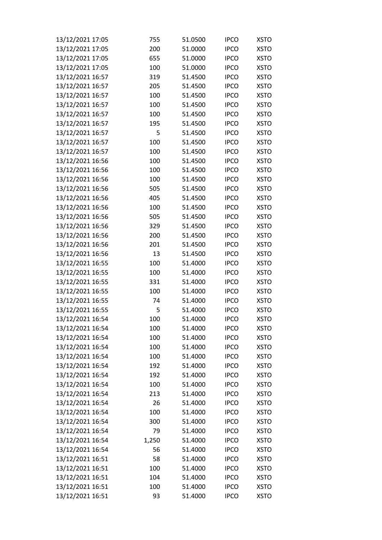| 13/12/2021 17:05 | 755   | 51.0500 | <b>IPCO</b>                | <b>XSTO</b> |
|------------------|-------|---------|----------------------------|-------------|
| 13/12/2021 17:05 | 200   | 51.0000 | <b>IPCO</b>                | <b>XSTO</b> |
| 13/12/2021 17:05 | 655   | 51.0000 | <b>IPCO</b>                | <b>XSTO</b> |
| 13/12/2021 17:05 | 100   | 51.0000 | <b>IPCO</b>                | <b>XSTO</b> |
| 13/12/2021 16:57 | 319   | 51.4500 | <b>IPCO</b>                | <b>XSTO</b> |
| 13/12/2021 16:57 | 205   | 51.4500 | <b>IPCO</b>                | <b>XSTO</b> |
|                  | 100   | 51.4500 | <b>IPCO</b>                | <b>XSTO</b> |
| 13/12/2021 16:57 | 100   |         |                            | <b>XSTO</b> |
| 13/12/2021 16:57 |       | 51.4500 | <b>IPCO</b><br><b>IPCO</b> |             |
| 13/12/2021 16:57 | 100   | 51.4500 |                            | <b>XSTO</b> |
| 13/12/2021 16:57 | 195   | 51.4500 | <b>IPCO</b>                | <b>XSTO</b> |
| 13/12/2021 16:57 | 5     | 51.4500 | <b>IPCO</b>                | <b>XSTO</b> |
| 13/12/2021 16:57 | 100   | 51.4500 | <b>IPCO</b>                | <b>XSTO</b> |
| 13/12/2021 16:57 | 100   | 51.4500 | <b>IPCO</b>                | <b>XSTO</b> |
| 13/12/2021 16:56 | 100   | 51.4500 | <b>IPCO</b>                | <b>XSTO</b> |
| 13/12/2021 16:56 | 100   | 51.4500 | <b>IPCO</b>                | <b>XSTO</b> |
| 13/12/2021 16:56 | 100   | 51.4500 | <b>IPCO</b>                | <b>XSTO</b> |
| 13/12/2021 16:56 | 505   | 51.4500 | <b>IPCO</b>                | <b>XSTO</b> |
| 13/12/2021 16:56 | 405   | 51.4500 | <b>IPCO</b>                | <b>XSTO</b> |
| 13/12/2021 16:56 | 100   | 51.4500 | <b>IPCO</b>                | <b>XSTO</b> |
| 13/12/2021 16:56 | 505   | 51.4500 | <b>IPCO</b>                | <b>XSTO</b> |
| 13/12/2021 16:56 | 329   | 51.4500 | <b>IPCO</b>                | <b>XSTO</b> |
| 13/12/2021 16:56 | 200   | 51.4500 | <b>IPCO</b>                | <b>XSTO</b> |
| 13/12/2021 16:56 | 201   | 51.4500 | <b>IPCO</b>                | <b>XSTO</b> |
| 13/12/2021 16:56 | 13    | 51.4500 | <b>IPCO</b>                | <b>XSTO</b> |
| 13/12/2021 16:55 | 100   | 51.4000 | <b>IPCO</b>                | <b>XSTO</b> |
| 13/12/2021 16:55 | 100   | 51.4000 | <b>IPCO</b>                | <b>XSTO</b> |
| 13/12/2021 16:55 | 331   | 51.4000 | <b>IPCO</b>                | <b>XSTO</b> |
| 13/12/2021 16:55 | 100   | 51.4000 | <b>IPCO</b>                | <b>XSTO</b> |
| 13/12/2021 16:55 | 74    | 51.4000 | <b>IPCO</b>                | <b>XSTO</b> |
| 13/12/2021 16:55 | 5     | 51.4000 | <b>IPCO</b>                | <b>XSTO</b> |
| 13/12/2021 16:54 | 100   | 51.4000 | <b>IPCO</b>                | <b>XSTO</b> |
| 13/12/2021 16:54 | 100   | 51.4000 | <b>IPCO</b>                | <b>XSTO</b> |
| 13/12/2021 16:54 | 100   | 51.4000 | <b>IPCO</b>                | <b>XSTO</b> |
| 13/12/2021 16:54 | 100   | 51.4000 | <b>IPCO</b>                | <b>XSTO</b> |
| 13/12/2021 16:54 | 100   | 51.4000 | <b>IPCO</b>                | <b>XSTO</b> |
| 13/12/2021 16:54 | 192   | 51.4000 | <b>IPCO</b>                | <b>XSTO</b> |
| 13/12/2021 16:54 | 192   | 51.4000 | <b>IPCO</b>                | <b>XSTO</b> |
| 13/12/2021 16:54 | 100   | 51.4000 | <b>IPCO</b>                | <b>XSTO</b> |
| 13/12/2021 16:54 | 213   | 51.4000 | <b>IPCO</b>                | <b>XSTO</b> |
| 13/12/2021 16:54 | 26    | 51.4000 | <b>IPCO</b>                | <b>XSTO</b> |
| 13/12/2021 16:54 | 100   | 51.4000 | <b>IPCO</b>                | <b>XSTO</b> |
| 13/12/2021 16:54 | 300   | 51.4000 | <b>IPCO</b>                | <b>XSTO</b> |
| 13/12/2021 16:54 | 79    | 51.4000 | <b>IPCO</b>                | <b>XSTO</b> |
| 13/12/2021 16:54 | 1,250 | 51.4000 | <b>IPCO</b>                | <b>XSTO</b> |
| 13/12/2021 16:54 | 56    | 51.4000 | <b>IPCO</b>                | <b>XSTO</b> |
| 13/12/2021 16:51 | 58    | 51.4000 | <b>IPCO</b>                | <b>XSTO</b> |
| 13/12/2021 16:51 | 100   | 51.4000 | <b>IPCO</b>                | <b>XSTO</b> |
| 13/12/2021 16:51 | 104   | 51.4000 | <b>IPCO</b>                | <b>XSTO</b> |
| 13/12/2021 16:51 |       |         |                            |             |
|                  | 100   | 51.4000 | <b>IPCO</b>                | <b>XSTO</b> |
| 13/12/2021 16:51 | 93    | 51.4000 | <b>IPCO</b>                | <b>XSTO</b> |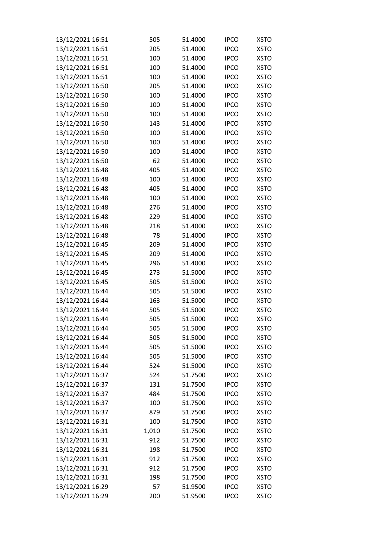| 13/12/2021 16:51 | 505   | 51.4000 | <b>IPCO</b> | <b>XSTO</b> |
|------------------|-------|---------|-------------|-------------|
| 13/12/2021 16:51 | 205   | 51.4000 | <b>IPCO</b> | <b>XSTO</b> |
| 13/12/2021 16:51 | 100   | 51.4000 | <b>IPCO</b> | <b>XSTO</b> |
| 13/12/2021 16:51 | 100   | 51.4000 | <b>IPCO</b> | <b>XSTO</b> |
| 13/12/2021 16:51 | 100   | 51.4000 | <b>IPCO</b> | <b>XSTO</b> |
| 13/12/2021 16:50 | 205   | 51.4000 | <b>IPCO</b> | <b>XSTO</b> |
| 13/12/2021 16:50 | 100   | 51.4000 | <b>IPCO</b> | <b>XSTO</b> |
| 13/12/2021 16:50 | 100   | 51.4000 | <b>IPCO</b> | <b>XSTO</b> |
| 13/12/2021 16:50 | 100   | 51.4000 | <b>IPCO</b> | <b>XSTO</b> |
| 13/12/2021 16:50 | 143   | 51.4000 | <b>IPCO</b> | <b>XSTO</b> |
| 13/12/2021 16:50 | 100   | 51.4000 | <b>IPCO</b> | <b>XSTO</b> |
| 13/12/2021 16:50 | 100   | 51.4000 | <b>IPCO</b> | <b>XSTO</b> |
| 13/12/2021 16:50 | 100   | 51.4000 | <b>IPCO</b> | <b>XSTO</b> |
| 13/12/2021 16:50 | 62    | 51.4000 | <b>IPCO</b> | <b>XSTO</b> |
| 13/12/2021 16:48 | 405   | 51.4000 | <b>IPCO</b> | <b>XSTO</b> |
| 13/12/2021 16:48 | 100   | 51.4000 | <b>IPCO</b> | <b>XSTO</b> |
| 13/12/2021 16:48 | 405   | 51.4000 | <b>IPCO</b> | <b>XSTO</b> |
| 13/12/2021 16:48 | 100   | 51.4000 | <b>IPCO</b> | <b>XSTO</b> |
| 13/12/2021 16:48 | 276   | 51.4000 | <b>IPCO</b> | <b>XSTO</b> |
| 13/12/2021 16:48 | 229   | 51.4000 | <b>IPCO</b> | <b>XSTO</b> |
| 13/12/2021 16:48 | 218   | 51.4000 | <b>IPCO</b> | <b>XSTO</b> |
| 13/12/2021 16:48 | 78    | 51.4000 | <b>IPCO</b> | <b>XSTO</b> |
| 13/12/2021 16:45 | 209   | 51.4000 | <b>IPCO</b> | <b>XSTO</b> |
| 13/12/2021 16:45 | 209   | 51.4000 | <b>IPCO</b> | <b>XSTO</b> |
| 13/12/2021 16:45 | 296   | 51.4000 | <b>IPCO</b> | <b>XSTO</b> |
| 13/12/2021 16:45 | 273   | 51.5000 | <b>IPCO</b> | <b>XSTO</b> |
| 13/12/2021 16:45 | 505   | 51.5000 | <b>IPCO</b> | <b>XSTO</b> |
| 13/12/2021 16:44 | 505   | 51.5000 | <b>IPCO</b> | <b>XSTO</b> |
| 13/12/2021 16:44 | 163   | 51.5000 | <b>IPCO</b> | <b>XSTO</b> |
| 13/12/2021 16:44 | 505   | 51.5000 | <b>IPCO</b> | <b>XSTO</b> |
| 13/12/2021 16:44 | 505   | 51.5000 | <b>IPCO</b> | <b>XSTO</b> |
| 13/12/2021 16:44 | 505   | 51.5000 | <b>IPCO</b> | <b>XSTO</b> |
| 13/12/2021 16:44 | 505   | 51.5000 | <b>IPCO</b> | <b>XSTO</b> |
| 13/12/2021 16:44 | 505   | 51.5000 | <b>IPCO</b> | <b>XSTO</b> |
| 13/12/2021 16:44 | 505   | 51.5000 | <b>IPCO</b> | <b>XSTO</b> |
| 13/12/2021 16:44 | 524   | 51.5000 | <b>IPCO</b> | <b>XSTO</b> |
| 13/12/2021 16:37 | 524   | 51.7500 | <b>IPCO</b> | <b>XSTO</b> |
| 13/12/2021 16:37 | 131   | 51.7500 | <b>IPCO</b> | <b>XSTO</b> |
| 13/12/2021 16:37 | 484   | 51.7500 | <b>IPCO</b> | <b>XSTO</b> |
|                  | 100   |         | <b>IPCO</b> | <b>XSTO</b> |
| 13/12/2021 16:37 |       | 51.7500 |             |             |
| 13/12/2021 16:37 | 879   | 51.7500 | <b>IPCO</b> | <b>XSTO</b> |
| 13/12/2021 16:31 | 100   | 51.7500 | <b>IPCO</b> | <b>XSTO</b> |
| 13/12/2021 16:31 | 1,010 | 51.7500 | <b>IPCO</b> | <b>XSTO</b> |
| 13/12/2021 16:31 | 912   | 51.7500 | <b>IPCO</b> | <b>XSTO</b> |
| 13/12/2021 16:31 | 198   | 51.7500 | <b>IPCO</b> | <b>XSTO</b> |
| 13/12/2021 16:31 | 912   | 51.7500 | <b>IPCO</b> | <b>XSTO</b> |
| 13/12/2021 16:31 | 912   | 51.7500 | <b>IPCO</b> | <b>XSTO</b> |
| 13/12/2021 16:31 | 198   | 51.7500 | <b>IPCO</b> | <b>XSTO</b> |
| 13/12/2021 16:29 | 57    | 51.9500 | <b>IPCO</b> | <b>XSTO</b> |
| 13/12/2021 16:29 | 200   | 51.9500 | <b>IPCO</b> | <b>XSTO</b> |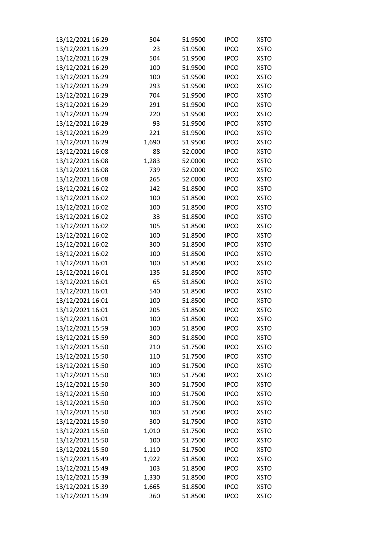| 13/12/2021 16:29 | 504   | 51.9500 | <b>IPCO</b> | <b>XSTO</b> |
|------------------|-------|---------|-------------|-------------|
| 13/12/2021 16:29 | 23    | 51.9500 | <b>IPCO</b> | <b>XSTO</b> |
| 13/12/2021 16:29 | 504   | 51.9500 | <b>IPCO</b> | <b>XSTO</b> |
| 13/12/2021 16:29 | 100   | 51.9500 | <b>IPCO</b> | <b>XSTO</b> |
| 13/12/2021 16:29 | 100   | 51.9500 | <b>IPCO</b> | <b>XSTO</b> |
| 13/12/2021 16:29 | 293   | 51.9500 | <b>IPCO</b> | <b>XSTO</b> |
| 13/12/2021 16:29 | 704   | 51.9500 | <b>IPCO</b> | <b>XSTO</b> |
| 13/12/2021 16:29 | 291   | 51.9500 | <b>IPCO</b> | <b>XSTO</b> |
| 13/12/2021 16:29 | 220   | 51.9500 | <b>IPCO</b> | <b>XSTO</b> |
| 13/12/2021 16:29 | 93    | 51.9500 | <b>IPCO</b> | <b>XSTO</b> |
| 13/12/2021 16:29 | 221   | 51.9500 | <b>IPCO</b> | <b>XSTO</b> |
| 13/12/2021 16:29 | 1,690 | 51.9500 | <b>IPCO</b> | <b>XSTO</b> |
| 13/12/2021 16:08 | 88    | 52.0000 | <b>IPCO</b> | <b>XSTO</b> |
| 13/12/2021 16:08 | 1,283 | 52.0000 | <b>IPCO</b> | <b>XSTO</b> |
| 13/12/2021 16:08 | 739   | 52.0000 | <b>IPCO</b> | <b>XSTO</b> |
| 13/12/2021 16:08 | 265   | 52.0000 | <b>IPCO</b> | <b>XSTO</b> |
| 13/12/2021 16:02 | 142   | 51.8500 | <b>IPCO</b> | <b>XSTO</b> |
| 13/12/2021 16:02 | 100   | 51.8500 | <b>IPCO</b> | <b>XSTO</b> |
| 13/12/2021 16:02 | 100   | 51.8500 | <b>IPCO</b> | <b>XSTO</b> |
| 13/12/2021 16:02 | 33    | 51.8500 | <b>IPCO</b> | <b>XSTO</b> |
| 13/12/2021 16:02 | 105   | 51.8500 | <b>IPCO</b> | <b>XSTO</b> |
| 13/12/2021 16:02 | 100   | 51.8500 | <b>IPCO</b> | <b>XSTO</b> |
| 13/12/2021 16:02 | 300   | 51.8500 | <b>IPCO</b> | <b>XSTO</b> |
| 13/12/2021 16:02 | 100   | 51.8500 | <b>IPCO</b> | <b>XSTO</b> |
| 13/12/2021 16:01 | 100   | 51.8500 | <b>IPCO</b> | <b>XSTO</b> |
| 13/12/2021 16:01 | 135   | 51.8500 | <b>IPCO</b> | <b>XSTO</b> |
| 13/12/2021 16:01 | 65    | 51.8500 | <b>IPCO</b> | <b>XSTO</b> |
| 13/12/2021 16:01 | 540   | 51.8500 | <b>IPCO</b> | <b>XSTO</b> |
| 13/12/2021 16:01 | 100   | 51.8500 | <b>IPCO</b> | <b>XSTO</b> |
| 13/12/2021 16:01 | 205   | 51.8500 | <b>IPCO</b> | <b>XSTO</b> |
| 13/12/2021 16:01 | 100   | 51.8500 | <b>IPCO</b> | <b>XSTO</b> |
| 13/12/2021 15:59 | 100   | 51.8500 | <b>IPCO</b> | <b>XSTO</b> |
| 13/12/2021 15:59 | 300   | 51.8500 | <b>IPCO</b> | <b>XSTO</b> |
| 13/12/2021 15:50 | 210   | 51.7500 | <b>IPCO</b> | <b>XSTO</b> |
| 13/12/2021 15:50 | 110   | 51.7500 | <b>IPCO</b> | <b>XSTO</b> |
| 13/12/2021 15:50 | 100   | 51.7500 | <b>IPCO</b> | <b>XSTO</b> |
| 13/12/2021 15:50 | 100   | 51.7500 | <b>IPCO</b> | <b>XSTO</b> |
| 13/12/2021 15:50 | 300   | 51.7500 | <b>IPCO</b> | <b>XSTO</b> |
| 13/12/2021 15:50 | 100   | 51.7500 | <b>IPCO</b> | <b>XSTO</b> |
|                  |       |         |             |             |
| 13/12/2021 15:50 | 100   | 51.7500 | <b>IPCO</b> | <b>XSTO</b> |
| 13/12/2021 15:50 | 100   | 51.7500 | <b>IPCO</b> | <b>XSTO</b> |
| 13/12/2021 15:50 | 300   | 51.7500 | <b>IPCO</b> | <b>XSTO</b> |
| 13/12/2021 15:50 | 1,010 | 51.7500 | <b>IPCO</b> | <b>XSTO</b> |
| 13/12/2021 15:50 | 100   | 51.7500 | <b>IPCO</b> | <b>XSTO</b> |
| 13/12/2021 15:50 | 1,110 | 51.7500 | <b>IPCO</b> | <b>XSTO</b> |
| 13/12/2021 15:49 | 1,922 | 51.8500 | <b>IPCO</b> | <b>XSTO</b> |
| 13/12/2021 15:49 | 103   | 51.8500 | <b>IPCO</b> | <b>XSTO</b> |
| 13/12/2021 15:39 | 1,330 | 51.8500 | <b>IPCO</b> | <b>XSTO</b> |
| 13/12/2021 15:39 | 1,665 | 51.8500 | <b>IPCO</b> | <b>XSTO</b> |
| 13/12/2021 15:39 | 360   | 51.8500 | <b>IPCO</b> | <b>XSTO</b> |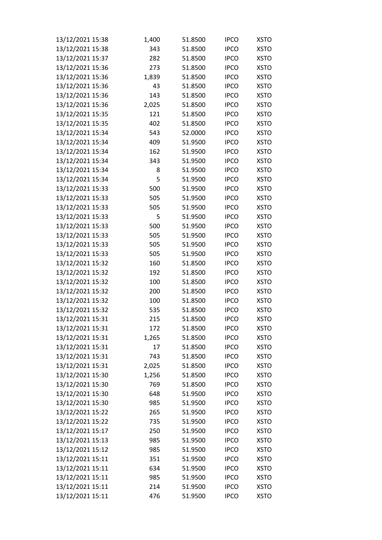| 13/12/2021 15:38 | 1,400 | 51.8500 | <b>IPCO</b> | <b>XSTO</b> |
|------------------|-------|---------|-------------|-------------|
| 13/12/2021 15:38 | 343   | 51.8500 | <b>IPCO</b> | <b>XSTO</b> |
| 13/12/2021 15:37 | 282   | 51.8500 | <b>IPCO</b> | <b>XSTO</b> |
| 13/12/2021 15:36 | 273   | 51.8500 | <b>IPCO</b> | <b>XSTO</b> |
| 13/12/2021 15:36 | 1,839 | 51.8500 | <b>IPCO</b> | <b>XSTO</b> |
| 13/12/2021 15:36 | 43    | 51.8500 | <b>IPCO</b> | <b>XSTO</b> |
| 13/12/2021 15:36 | 143   | 51.8500 | <b>IPCO</b> | <b>XSTO</b> |
| 13/12/2021 15:36 | 2,025 | 51.8500 | <b>IPCO</b> | <b>XSTO</b> |
| 13/12/2021 15:35 | 121   | 51.8500 | <b>IPCO</b> | <b>XSTO</b> |
| 13/12/2021 15:35 | 402   | 51.8500 | <b>IPCO</b> | <b>XSTO</b> |
| 13/12/2021 15:34 | 543   | 52.0000 | <b>IPCO</b> | <b>XSTO</b> |
| 13/12/2021 15:34 | 409   | 51.9500 | <b>IPCO</b> | <b>XSTO</b> |
| 13/12/2021 15:34 | 162   | 51.9500 | <b>IPCO</b> | <b>XSTO</b> |
| 13/12/2021 15:34 | 343   | 51.9500 | <b>IPCO</b> | <b>XSTO</b> |
| 13/12/2021 15:34 | 8     | 51.9500 | <b>IPCO</b> | <b>XSTO</b> |
| 13/12/2021 15:34 | 5     | 51.9500 | <b>IPCO</b> | <b>XSTO</b> |
| 13/12/2021 15:33 | 500   | 51.9500 | <b>IPCO</b> | <b>XSTO</b> |
| 13/12/2021 15:33 | 505   | 51.9500 | <b>IPCO</b> | <b>XSTO</b> |
| 13/12/2021 15:33 | 505   | 51.9500 | <b>IPCO</b> | <b>XSTO</b> |
| 13/12/2021 15:33 | 5     | 51.9500 | <b>IPCO</b> | <b>XSTO</b> |
| 13/12/2021 15:33 | 500   | 51.9500 | <b>IPCO</b> | <b>XSTO</b> |
| 13/12/2021 15:33 | 505   | 51.9500 | <b>IPCO</b> | <b>XSTO</b> |
| 13/12/2021 15:33 | 505   | 51.9500 | <b>IPCO</b> | <b>XSTO</b> |
| 13/12/2021 15:33 | 505   | 51.9500 | <b>IPCO</b> | <b>XSTO</b> |
| 13/12/2021 15:32 | 160   | 51.8500 | <b>IPCO</b> | <b>XSTO</b> |
| 13/12/2021 15:32 | 192   | 51.8500 | <b>IPCO</b> | <b>XSTO</b> |
| 13/12/2021 15:32 | 100   | 51.8500 | <b>IPCO</b> | <b>XSTO</b> |
| 13/12/2021 15:32 | 200   | 51.8500 | <b>IPCO</b> | <b>XSTO</b> |
| 13/12/2021 15:32 | 100   | 51.8500 | <b>IPCO</b> | <b>XSTO</b> |
| 13/12/2021 15:32 | 535   | 51.8500 | <b>IPCO</b> | <b>XSTO</b> |
| 13/12/2021 15:31 | 215   | 51.8500 | <b>IPCO</b> | <b>XSTO</b> |
| 13/12/2021 15:31 | 172   | 51.8500 | <b>IPCO</b> | <b>XSTO</b> |
| 13/12/2021 15:31 | 1,265 | 51.8500 | <b>IPCO</b> | <b>XSTO</b> |
| 13/12/2021 15:31 | 17    | 51.8500 | <b>IPCO</b> | <b>XSTO</b> |
| 13/12/2021 15:31 | 743   | 51.8500 | <b>IPCO</b> | <b>XSTO</b> |
| 13/12/2021 15:31 | 2,025 | 51.8500 | <b>IPCO</b> | <b>XSTO</b> |
| 13/12/2021 15:30 | 1,256 | 51.8500 | <b>IPCO</b> | <b>XSTO</b> |
| 13/12/2021 15:30 | 769   | 51.8500 | <b>IPCO</b> | <b>XSTO</b> |
| 13/12/2021 15:30 | 648   | 51.9500 | <b>IPCO</b> | <b>XSTO</b> |
| 13/12/2021 15:30 |       |         | <b>IPCO</b> | <b>XSTO</b> |
|                  | 985   | 51.9500 |             |             |
| 13/12/2021 15:22 | 265   | 51.9500 | <b>IPCO</b> | <b>XSTO</b> |
| 13/12/2021 15:22 | 735   | 51.9500 | <b>IPCO</b> | <b>XSTO</b> |
| 13/12/2021 15:17 | 250   | 51.9500 | <b>IPCO</b> | <b>XSTO</b> |
| 13/12/2021 15:13 | 985   | 51.9500 | <b>IPCO</b> | <b>XSTO</b> |
| 13/12/2021 15:12 | 985   | 51.9500 | <b>IPCO</b> | <b>XSTO</b> |
| 13/12/2021 15:11 | 351   | 51.9500 | <b>IPCO</b> | <b>XSTO</b> |
| 13/12/2021 15:11 | 634   | 51.9500 | <b>IPCO</b> | <b>XSTO</b> |
| 13/12/2021 15:11 | 985   | 51.9500 | <b>IPCO</b> | <b>XSTO</b> |
| 13/12/2021 15:11 | 214   | 51.9500 | <b>IPCO</b> | <b>XSTO</b> |
| 13/12/2021 15:11 | 476   | 51.9500 | <b>IPCO</b> | <b>XSTO</b> |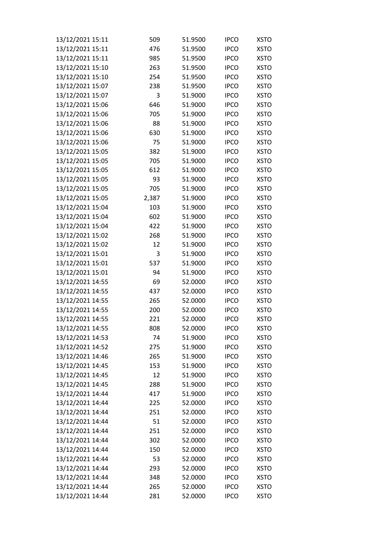| 13/12/2021 15:11                     | 509   | 51.9500 | <b>IPCO</b> | <b>XSTO</b> |
|--------------------------------------|-------|---------|-------------|-------------|
| 13/12/2021 15:11                     | 476   | 51.9500 | <b>IPCO</b> | <b>XSTO</b> |
| 13/12/2021 15:11                     | 985   | 51.9500 | <b>IPCO</b> | <b>XSTO</b> |
| 13/12/2021 15:10                     | 263   | 51.9500 | <b>IPCO</b> | <b>XSTO</b> |
| 13/12/2021 15:10                     | 254   | 51.9500 | <b>IPCO</b> | <b>XSTO</b> |
| 13/12/2021 15:07                     | 238   | 51.9500 | <b>IPCO</b> | <b>XSTO</b> |
| 13/12/2021 15:07                     | 3     | 51.9000 | <b>IPCO</b> | <b>XSTO</b> |
| 13/12/2021 15:06                     | 646   | 51.9000 | <b>IPCO</b> | <b>XSTO</b> |
| 13/12/2021 15:06                     | 705   | 51.9000 | <b>IPCO</b> | <b>XSTO</b> |
| 13/12/2021 15:06                     | 88    | 51.9000 | <b>IPCO</b> | <b>XSTO</b> |
| 13/12/2021 15:06                     | 630   | 51.9000 | <b>IPCO</b> | <b>XSTO</b> |
| 13/12/2021 15:06                     | 75    | 51.9000 | <b>IPCO</b> | <b>XSTO</b> |
| 13/12/2021 15:05                     | 382   | 51.9000 | <b>IPCO</b> | <b>XSTO</b> |
| 13/12/2021 15:05                     | 705   | 51.9000 | <b>IPCO</b> | <b>XSTO</b> |
| 13/12/2021 15:05                     | 612   | 51.9000 | <b>IPCO</b> | <b>XSTO</b> |
| 13/12/2021 15:05                     | 93    | 51.9000 | <b>IPCO</b> | <b>XSTO</b> |
| 13/12/2021 15:05                     | 705   | 51.9000 | <b>IPCO</b> | <b>XSTO</b> |
| 13/12/2021 15:05                     | 2,387 | 51.9000 | <b>IPCO</b> | <b>XSTO</b> |
| 13/12/2021 15:04                     | 103   | 51.9000 | <b>IPCO</b> | <b>XSTO</b> |
| 13/12/2021 15:04                     | 602   | 51.9000 | <b>IPCO</b> | <b>XSTO</b> |
| 13/12/2021 15:04                     | 422   | 51.9000 | <b>IPCO</b> | <b>XSTO</b> |
| 13/12/2021 15:02                     | 268   | 51.9000 | <b>IPCO</b> | <b>XSTO</b> |
| 13/12/2021 15:02                     | 12    | 51.9000 | <b>IPCO</b> | <b>XSTO</b> |
| 13/12/2021 15:01                     | 3     | 51.9000 | <b>IPCO</b> | <b>XSTO</b> |
| 13/12/2021 15:01                     | 537   | 51.9000 | <b>IPCO</b> | <b>XSTO</b> |
| 13/12/2021 15:01                     | 94    | 51.9000 | <b>IPCO</b> | <b>XSTO</b> |
| 13/12/2021 14:55                     | 69    | 52.0000 | <b>IPCO</b> | <b>XSTO</b> |
| 13/12/2021 14:55                     | 437   | 52.0000 | <b>IPCO</b> | <b>XSTO</b> |
| 13/12/2021 14:55                     | 265   | 52.0000 | <b>IPCO</b> | <b>XSTO</b> |
| 13/12/2021 14:55                     | 200   | 52.0000 | <b>IPCO</b> | <b>XSTO</b> |
| 13/12/2021 14:55                     | 221   | 52.0000 | <b>IPCO</b> | <b>XSTO</b> |
| 13/12/2021 14:55                     | 808   | 52.0000 | <b>IPCO</b> | <b>XSTO</b> |
| 13/12/2021 14:53                     | 74    | 51.9000 | <b>IPCO</b> | <b>XSTO</b> |
| 13/12/2021 14:52                     | 275   | 51.9000 | <b>IPCO</b> | <b>XSTO</b> |
| 13/12/2021 14:46                     | 265   | 51.9000 | <b>IPCO</b> | <b>XSTO</b> |
| 13/12/2021 14:45                     | 153   | 51.9000 | <b>IPCO</b> | <b>XSTO</b> |
| 13/12/2021 14:45                     | 12    | 51.9000 | <b>IPCO</b> | <b>XSTO</b> |
| 13/12/2021 14:45                     | 288   | 51.9000 | <b>IPCO</b> | <b>XSTO</b> |
|                                      | 417   |         |             |             |
| 13/12/2021 14:44<br>13/12/2021 14:44 |       | 51.9000 | <b>IPCO</b> | <b>XSTO</b> |
|                                      | 225   | 52.0000 | <b>IPCO</b> | <b>XSTO</b> |
| 13/12/2021 14:44                     | 251   | 52.0000 | <b>IPCO</b> | <b>XSTO</b> |
| 13/12/2021 14:44                     | 51    | 52.0000 | <b>IPCO</b> | <b>XSTO</b> |
| 13/12/2021 14:44                     | 251   | 52.0000 | <b>IPCO</b> | <b>XSTO</b> |
| 13/12/2021 14:44                     | 302   | 52.0000 | <b>IPCO</b> | <b>XSTO</b> |
| 13/12/2021 14:44                     | 150   | 52.0000 | <b>IPCO</b> | <b>XSTO</b> |
| 13/12/2021 14:44                     | 53    | 52.0000 | <b>IPCO</b> | <b>XSTO</b> |
| 13/12/2021 14:44                     | 293   | 52.0000 | <b>IPCO</b> | <b>XSTO</b> |
| 13/12/2021 14:44                     | 348   | 52.0000 | <b>IPCO</b> | <b>XSTO</b> |
| 13/12/2021 14:44                     | 265   | 52.0000 | <b>IPCO</b> | <b>XSTO</b> |
| 13/12/2021 14:44                     | 281   | 52.0000 | <b>IPCO</b> | <b>XSTO</b> |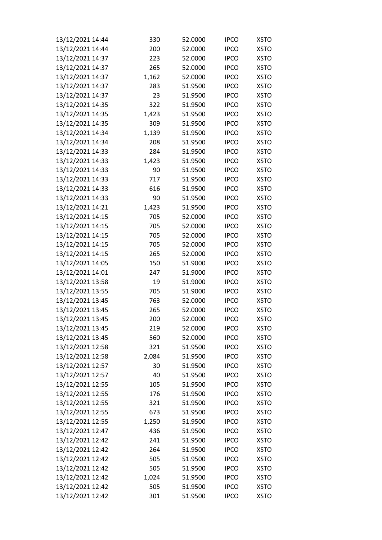| 13/12/2021 14:44 | 330   | 52.0000 | <b>IPCO</b> | <b>XSTO</b> |
|------------------|-------|---------|-------------|-------------|
| 13/12/2021 14:44 | 200   | 52.0000 | <b>IPCO</b> | <b>XSTO</b> |
| 13/12/2021 14:37 | 223   | 52.0000 | <b>IPCO</b> | <b>XSTO</b> |
| 13/12/2021 14:37 | 265   | 52.0000 | <b>IPCO</b> | <b>XSTO</b> |
| 13/12/2021 14:37 | 1,162 | 52.0000 | <b>IPCO</b> | <b>XSTO</b> |
| 13/12/2021 14:37 | 283   | 51.9500 | <b>IPCO</b> | <b>XSTO</b> |
| 13/12/2021 14:37 | 23    | 51.9500 | <b>IPCO</b> | <b>XSTO</b> |
| 13/12/2021 14:35 | 322   | 51.9500 | <b>IPCO</b> | <b>XSTO</b> |
| 13/12/2021 14:35 | 1,423 | 51.9500 | <b>IPCO</b> | <b>XSTO</b> |
| 13/12/2021 14:35 | 309   | 51.9500 | <b>IPCO</b> | <b>XSTO</b> |
| 13/12/2021 14:34 | 1,139 | 51.9500 | <b>IPCO</b> | <b>XSTO</b> |
| 13/12/2021 14:34 | 208   | 51.9500 | <b>IPCO</b> | <b>XSTO</b> |
| 13/12/2021 14:33 | 284   | 51.9500 | <b>IPCO</b> | <b>XSTO</b> |
| 13/12/2021 14:33 | 1,423 | 51.9500 | <b>IPCO</b> | <b>XSTO</b> |
| 13/12/2021 14:33 | 90    | 51.9500 | <b>IPCO</b> | <b>XSTO</b> |
| 13/12/2021 14:33 | 717   | 51.9500 | <b>IPCO</b> | <b>XSTO</b> |
| 13/12/2021 14:33 | 616   | 51.9500 | <b>IPCO</b> | <b>XSTO</b> |
| 13/12/2021 14:33 | 90    | 51.9500 | <b>IPCO</b> | <b>XSTO</b> |
| 13/12/2021 14:21 | 1,423 | 51.9500 | <b>IPCO</b> | <b>XSTO</b> |
| 13/12/2021 14:15 | 705   | 52.0000 | <b>IPCO</b> | <b>XSTO</b> |
| 13/12/2021 14:15 | 705   | 52.0000 | <b>IPCO</b> | <b>XSTO</b> |
| 13/12/2021 14:15 | 705   | 52.0000 | <b>IPCO</b> | <b>XSTO</b> |
| 13/12/2021 14:15 | 705   | 52.0000 | <b>IPCO</b> | <b>XSTO</b> |
| 13/12/2021 14:15 | 265   | 52.0000 | <b>IPCO</b> | <b>XSTO</b> |
| 13/12/2021 14:05 | 150   | 51.9000 | <b>IPCO</b> | <b>XSTO</b> |
| 13/12/2021 14:01 | 247   | 51.9000 | <b>IPCO</b> | <b>XSTO</b> |
| 13/12/2021 13:58 | 19    | 51.9000 | <b>IPCO</b> | <b>XSTO</b> |
| 13/12/2021 13:55 | 705   | 51.9000 | <b>IPCO</b> | <b>XSTO</b> |
| 13/12/2021 13:45 | 763   | 52.0000 | <b>IPCO</b> | <b>XSTO</b> |
| 13/12/2021 13:45 | 265   | 52.0000 | <b>IPCO</b> | <b>XSTO</b> |
| 13/12/2021 13:45 | 200   | 52.0000 | <b>IPCO</b> | <b>XSTO</b> |
| 13/12/2021 13:45 | 219   | 52.0000 | <b>IPCO</b> | <b>XSTO</b> |
| 13/12/2021 13:45 | 560   | 52.0000 | <b>IPCO</b> | <b>XSTO</b> |
| 13/12/2021 12:58 | 321   | 51.9500 | <b>IPCO</b> | <b>XSTO</b> |
| 13/12/2021 12:58 | 2,084 | 51.9500 | <b>IPCO</b> | <b>XSTO</b> |
| 13/12/2021 12:57 | 30    | 51.9500 | <b>IPCO</b> | <b>XSTO</b> |
| 13/12/2021 12:57 | 40    | 51.9500 | <b>IPCO</b> | <b>XSTO</b> |
| 13/12/2021 12:55 | 105   | 51.9500 | <b>IPCO</b> | <b>XSTO</b> |
| 13/12/2021 12:55 | 176   | 51.9500 | <b>IPCO</b> | <b>XSTO</b> |
| 13/12/2021 12:55 | 321   | 51.9500 | <b>IPCO</b> | <b>XSTO</b> |
| 13/12/2021 12:55 | 673   | 51.9500 | <b>IPCO</b> | <b>XSTO</b> |
| 13/12/2021 12:55 | 1,250 | 51.9500 | <b>IPCO</b> | <b>XSTO</b> |
| 13/12/2021 12:47 | 436   | 51.9500 | <b>IPCO</b> | <b>XSTO</b> |
| 13/12/2021 12:42 | 241   | 51.9500 | <b>IPCO</b> | <b>XSTO</b> |
| 13/12/2021 12:42 | 264   | 51.9500 | <b>IPCO</b> | <b>XSTO</b> |
| 13/12/2021 12:42 | 505   | 51.9500 | <b>IPCO</b> | <b>XSTO</b> |
| 13/12/2021 12:42 | 505   | 51.9500 | <b>IPCO</b> | <b>XSTO</b> |
| 13/12/2021 12:42 | 1,024 | 51.9500 | <b>IPCO</b> | <b>XSTO</b> |
| 13/12/2021 12:42 | 505   | 51.9500 | <b>IPCO</b> | <b>XSTO</b> |
| 13/12/2021 12:42 | 301   | 51.9500 | <b>IPCO</b> | <b>XSTO</b> |
|                  |       |         |             |             |